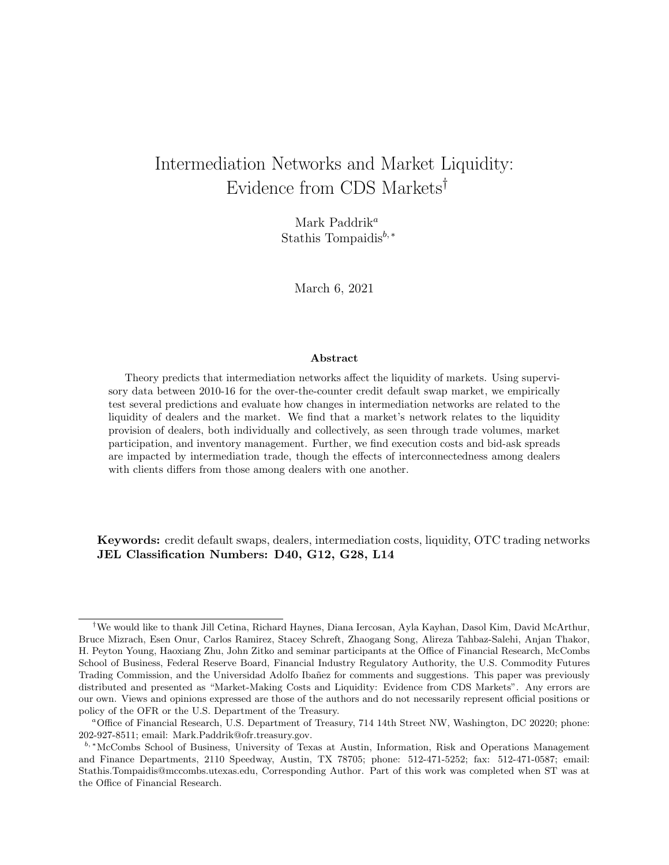# Intermediation Networks and Market Liquidity: Evidence from CDS Markets†

Mark Paddrik<sup>a</sup> Stathis Tompaidis<sup>b,\*</sup>

March 6, 2021

#### Abstract

Theory predicts that intermediation networks affect the liquidity of markets. Using supervisory data between 2010-16 for the over-the-counter credit default swap market, we empirically test several predictions and evaluate how changes in intermediation networks are related to the liquidity of dealers and the market. We find that a market's network relates to the liquidity provision of dealers, both individually and collectively, as seen through trade volumes, market participation, and inventory management. Further, we find execution costs and bid-ask spreads are impacted by intermediation trade, though the effects of interconnectedness among dealers with clients differs from those among dealers with one another.

Keywords: credit default swaps, dealers, intermediation costs, liquidity, OTC trading networks JEL Classification Numbers: D40, G12, G28, L14

<sup>†</sup>We would like to thank Jill Cetina, Richard Haynes, Diana Iercosan, Ayla Kayhan, Dasol Kim, David McArthur, Bruce Mizrach, Esen Onur, Carlos Ramirez, Stacey Schreft, Zhaogang Song, Alireza Tahbaz-Salehi, Anjan Thakor, H. Peyton Young, Haoxiang Zhu, John Zitko and seminar participants at the Office of Financial Research, McCombs School of Business, Federal Reserve Board, Financial Industry Regulatory Authority, the U.S. Commodity Futures Trading Commission, and the Universidad Adolfo Ibañez for comments and suggestions. This paper was previously distributed and presented as "Market-Making Costs and Liquidity: Evidence from CDS Markets". Any errors are our own. Views and opinions expressed are those of the authors and do not necessarily represent official positions or policy of the OFR or the U.S. Department of the Treasury.

<sup>a</sup>Office of Financial Research, U.S. Department of Treasury, 714 14th Street NW, Washington, DC 20220; phone: 202-927-8511; email: Mark.Paddrik@ofr.treasury.gov.

b, <sup>∗</sup>McCombs School of Business, University of Texas at Austin, Information, Risk and Operations Management and Finance Departments, 2110 Speedway, Austin, TX 78705; phone: 512-471-5252; fax: 512-471-0587; email: Stathis.Tompaidis@mccombs.utexas.edu, Corresponding Author. Part of this work was completed when ST was at the Office of Financial Research.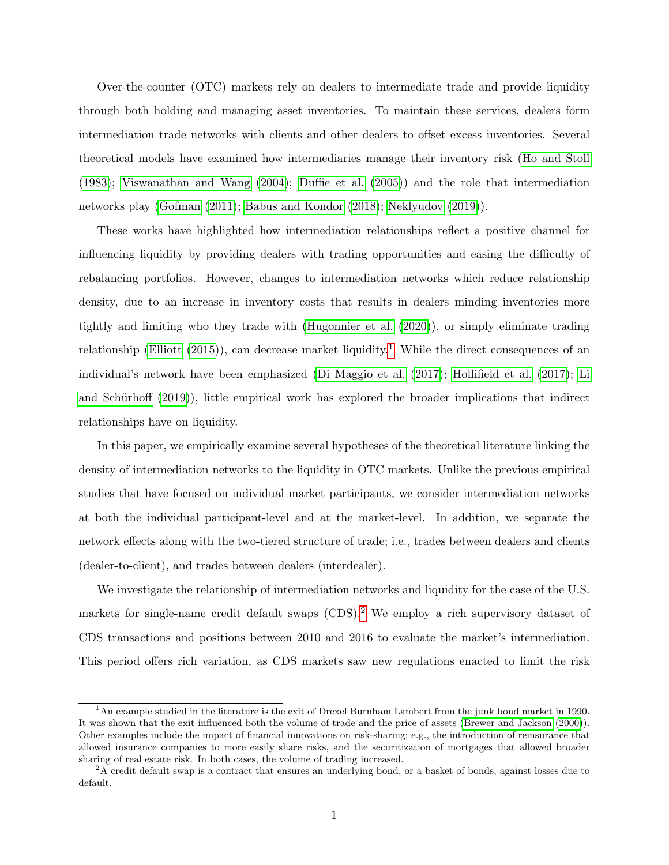Over-the-counter (OTC) markets rely on dealers to intermediate trade and provide liquidity through both holding and managing asset inventories. To maintain these services, dealers form intermediation trade networks with clients and other dealers to offset excess inventories. Several theoretical models have examined how intermediaries manage their inventory risk [\(Ho and Stoll](#page-41-0) [\(1983\)](#page-41-0); [Viswanathan and Wang](#page-42-0) [\(2004\)](#page-42-0); [Duffie et al.](#page-40-0) [\(2005\)](#page-40-0)) and the role that intermediation networks play [\(Gofman](#page-41-1) [\(2011\)](#page-41-1); [Babus and Kondor](#page-40-1) [\(2018\)](#page-40-1); [Neklyudov](#page-41-2) [\(2019\)](#page-41-2)).

These works have highlighted how intermediation relationships reflect a positive channel for influencing liquidity by providing dealers with trading opportunities and easing the difficulty of rebalancing portfolios. However, changes to intermediation networks which reduce relationship density, due to an increase in inventory costs that results in dealers minding inventories more tightly and limiting who they trade with [\(Hugonnier et al.](#page-41-3) [\(2020\)](#page-41-3)), or simply eliminate trading relationship [\(Elliott](#page-41-4) [\(2015\)](#page-41-4)), can decrease market liquidity.<sup>[1](#page-1-0)</sup> While the direct consequences of an individual's network have been emphasized [\(Di Maggio et al.](#page-40-2) [\(2017\)](#page-40-2); [Hollifield et al.](#page-41-5) [\(2017\)](#page-41-5); [Li](#page-41-6) and Schürhoff [\(2019\)](#page-41-6)), little empirical work has explored the broader implications that indirect relationships have on liquidity.

In this paper, we empirically examine several hypotheses of the theoretical literature linking the density of intermediation networks to the liquidity in OTC markets. Unlike the previous empirical studies that have focused on individual market participants, we consider intermediation networks at both the individual participant-level and at the market-level. In addition, we separate the network effects along with the two-tiered structure of trade; i.e., trades between dealers and clients (dealer-to-client), and trades between dealers (interdealer).

We investigate the relationship of intermediation networks and liquidity for the case of the U.S. markets for single-name credit default swaps (CDS).<sup>[2](#page-1-1)</sup> We employ a rich supervisory dataset of CDS transactions and positions between 2010 and 2016 to evaluate the market's intermediation. This period offers rich variation, as CDS markets saw new regulations enacted to limit the risk

<span id="page-1-0"></span> $1<sup>1</sup>$ An example studied in the literature is the exit of Drexel Burnham Lambert from the junk bond market in 1990. It was shown that the exit influenced both the volume of trade and the price of assets [\(Brewer and Jackson](#page-40-3) [\(2000\)](#page-40-3)). Other examples include the impact of financial innovations on risk-sharing; e.g., the introduction of reinsurance that allowed insurance companies to more easily share risks, and the securitization of mortgages that allowed broader sharing of real estate risk. In both cases, the volume of trading increased.

<span id="page-1-1"></span> ${}^{2}$ A credit default swap is a contract that ensures an underlying bond, or a basket of bonds, against losses due to default.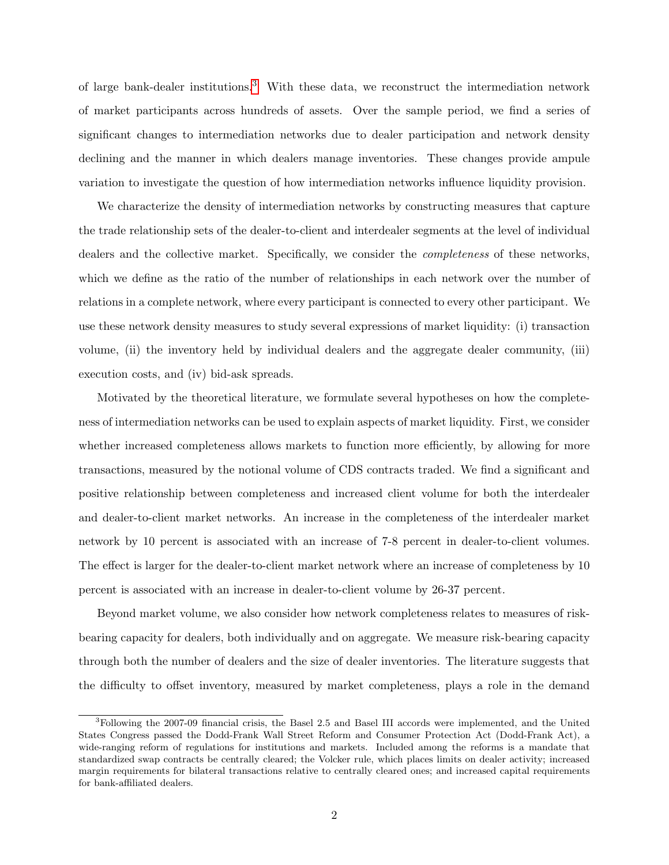of large bank-dealer institutions.[3](#page-2-0) With these data, we reconstruct the intermediation network of market participants across hundreds of assets. Over the sample period, we find a series of significant changes to intermediation networks due to dealer participation and network density declining and the manner in which dealers manage inventories. These changes provide ampule variation to investigate the question of how intermediation networks influence liquidity provision.

We characterize the density of intermediation networks by constructing measures that capture the trade relationship sets of the dealer-to-client and interdealer segments at the level of individual dealers and the collective market. Specifically, we consider the completeness of these networks, which we define as the ratio of the number of relationships in each network over the number of relations in a complete network, where every participant is connected to every other participant. We use these network density measures to study several expressions of market liquidity: (i) transaction volume, (ii) the inventory held by individual dealers and the aggregate dealer community, (iii) execution costs, and (iv) bid-ask spreads.

Motivated by the theoretical literature, we formulate several hypotheses on how the completeness of intermediation networks can be used to explain aspects of market liquidity. First, we consider whether increased completeness allows markets to function more efficiently, by allowing for more transactions, measured by the notional volume of CDS contracts traded. We find a significant and positive relationship between completeness and increased client volume for both the interdealer and dealer-to-client market networks. An increase in the completeness of the interdealer market network by 10 percent is associated with an increase of 7-8 percent in dealer-to-client volumes. The effect is larger for the dealer-to-client market network where an increase of completeness by 10 percent is associated with an increase in dealer-to-client volume by 26-37 percent.

Beyond market volume, we also consider how network completeness relates to measures of riskbearing capacity for dealers, both individually and on aggregate. We measure risk-bearing capacity through both the number of dealers and the size of dealer inventories. The literature suggests that the difficulty to offset inventory, measured by market completeness, plays a role in the demand

<span id="page-2-0"></span><sup>3</sup>Following the 2007-09 financial crisis, the Basel 2.5 and Basel III accords were implemented, and the United States Congress passed the Dodd-Frank Wall Street Reform and Consumer Protection Act (Dodd-Frank Act), a wide-ranging reform of regulations for institutions and markets. Included among the reforms is a mandate that standardized swap contracts be centrally cleared; the Volcker rule, which places limits on dealer activity; increased margin requirements for bilateral transactions relative to centrally cleared ones; and increased capital requirements for bank-affiliated dealers.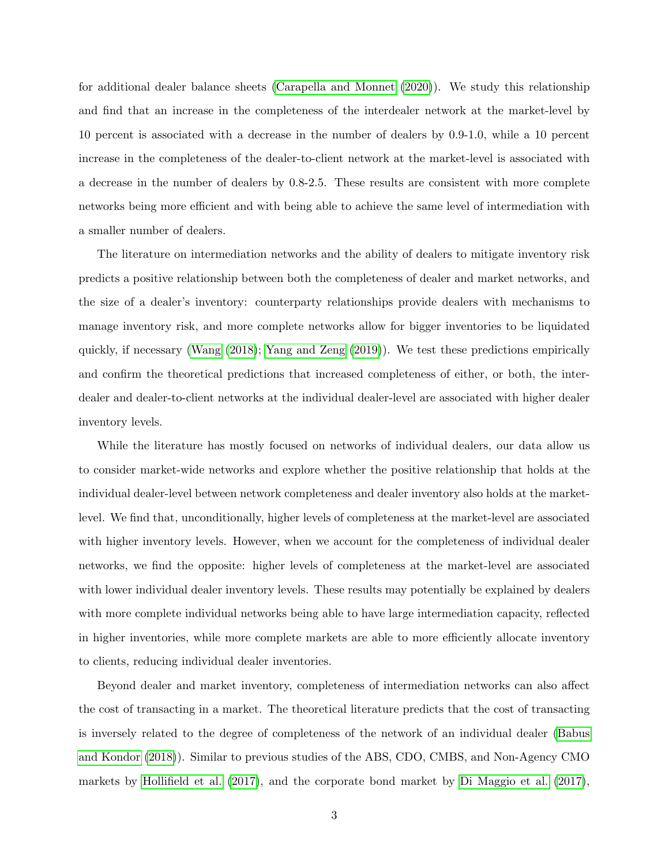for additional dealer balance sheets [\(Carapella and Monnet](#page-40-4) [\(2020\)](#page-40-4)). We study this relationship and find that an increase in the completeness of the interdealer network at the market-level by 10 percent is associated with a decrease in the number of dealers by 0.9-1.0, while a 10 percent increase in the completeness of the dealer-to-client network at the market-level is associated with a decrease in the number of dealers by 0.8-2.5. These results are consistent with more complete networks being more efficient and with being able to achieve the same level of intermediation with a smaller number of dealers.

The literature on intermediation networks and the ability of dealers to mitigate inventory risk predicts a positive relationship between both the completeness of dealer and market networks, and the size of a dealer's inventory: counterparty relationships provide dealers with mechanisms to manage inventory risk, and more complete networks allow for bigger inventories to be liquidated quickly, if necessary [\(Wang](#page-42-1) [\(2018\)](#page-42-1); [Yang and Zeng](#page-42-2) [\(2019\)](#page-42-2)). We test these predictions empirically and confirm the theoretical predictions that increased completeness of either, or both, the interdealer and dealer-to-client networks at the individual dealer-level are associated with higher dealer inventory levels.

While the literature has mostly focused on networks of individual dealers, our data allow us to consider market-wide networks and explore whether the positive relationship that holds at the individual dealer-level between network completeness and dealer inventory also holds at the marketlevel. We find that, unconditionally, higher levels of completeness at the market-level are associated with higher inventory levels. However, when we account for the completeness of individual dealer networks, we find the opposite: higher levels of completeness at the market-level are associated with lower individual dealer inventory levels. These results may potentially be explained by dealers with more complete individual networks being able to have large intermediation capacity, reflected in higher inventories, while more complete markets are able to more efficiently allocate inventory to clients, reducing individual dealer inventories.

Beyond dealer and market inventory, completeness of intermediation networks can also affect the cost of transacting in a market. The theoretical literature predicts that the cost of transacting is inversely related to the degree of completeness of the network of an individual dealer [\(Babus](#page-40-1) [and Kondor](#page-40-1) [\(2018\)](#page-40-1)). Similar to previous studies of the ABS, CDO, CMBS, and Non-Agency CMO markets by [Hollifield et al.](#page-41-5) [\(2017\)](#page-41-5), and the corporate bond market by [Di Maggio et al.](#page-40-2) [\(2017\)](#page-40-2),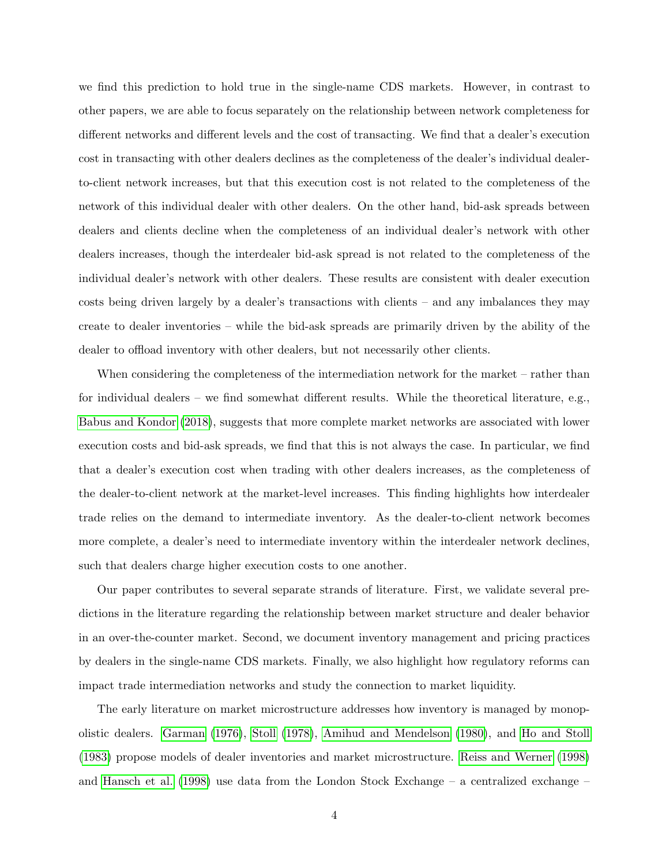we find this prediction to hold true in the single-name CDS markets. However, in contrast to other papers, we are able to focus separately on the relationship between network completeness for different networks and different levels and the cost of transacting. We find that a dealer's execution cost in transacting with other dealers declines as the completeness of the dealer's individual dealerto-client network increases, but that this execution cost is not related to the completeness of the network of this individual dealer with other dealers. On the other hand, bid-ask spreads between dealers and clients decline when the completeness of an individual dealer's network with other dealers increases, though the interdealer bid-ask spread is not related to the completeness of the individual dealer's network with other dealers. These results are consistent with dealer execution costs being driven largely by a dealer's transactions with clients – and any imbalances they may create to dealer inventories – while the bid-ask spreads are primarily driven by the ability of the dealer to offload inventory with other dealers, but not necessarily other clients.

When considering the completeness of the intermediation network for the market – rather than for individual dealers – we find somewhat different results. While the theoretical literature, e.g., [Babus and Kondor](#page-40-1) [\(2018\)](#page-40-1), suggests that more complete market networks are associated with lower execution costs and bid-ask spreads, we find that this is not always the case. In particular, we find that a dealer's execution cost when trading with other dealers increases, as the completeness of the dealer-to-client network at the market-level increases. This finding highlights how interdealer trade relies on the demand to intermediate inventory. As the dealer-to-client network becomes more complete, a dealer's need to intermediate inventory within the interdealer network declines, such that dealers charge higher execution costs to one another.

Our paper contributes to several separate strands of literature. First, we validate several predictions in the literature regarding the relationship between market structure and dealer behavior in an over-the-counter market. Second, we document inventory management and pricing practices by dealers in the single-name CDS markets. Finally, we also highlight how regulatory reforms can impact trade intermediation networks and study the connection to market liquidity.

The early literature on market microstructure addresses how inventory is managed by monopolistic dealers. [Garman](#page-41-7) [\(1976\)](#page-41-7), [Stoll](#page-42-3) [\(1978\)](#page-42-3), [Amihud and Mendelson](#page-40-5) [\(1980\)](#page-40-5), and [Ho and Stoll](#page-41-0) [\(1983\)](#page-41-0) propose models of dealer inventories and market microstructure. [Reiss and Werner](#page-42-4) [\(1998\)](#page-42-4) and [Hansch et al.](#page-41-8) [\(1998\)](#page-41-8) use data from the London Stock Exchange – a centralized exchange –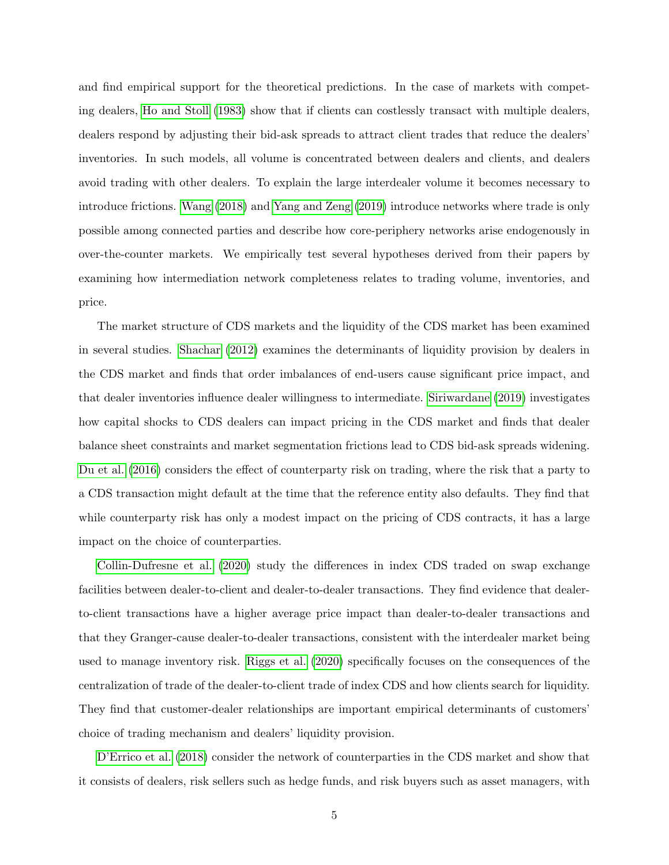and find empirical support for the theoretical predictions. In the case of markets with competing dealers, [Ho and Stoll](#page-41-0) [\(1983\)](#page-41-0) show that if clients can costlessly transact with multiple dealers, dealers respond by adjusting their bid-ask spreads to attract client trades that reduce the dealers' inventories. In such models, all volume is concentrated between dealers and clients, and dealers avoid trading with other dealers. To explain the large interdealer volume it becomes necessary to introduce frictions. [Wang](#page-42-1) [\(2018\)](#page-42-1) and [Yang and Zeng](#page-42-2) [\(2019\)](#page-42-2) introduce networks where trade is only possible among connected parties and describe how core-periphery networks arise endogenously in over-the-counter markets. We empirically test several hypotheses derived from their papers by examining how intermediation network completeness relates to trading volume, inventories, and price.

The market structure of CDS markets and the liquidity of the CDS market has been examined in several studies. [Shachar](#page-42-5) [\(2012\)](#page-42-5) examines the determinants of liquidity provision by dealers in the CDS market and finds that order imbalances of end-users cause significant price impact, and that dealer inventories influence dealer willingness to intermediate. [Siriwardane](#page-42-6) [\(2019\)](#page-42-6) investigates how capital shocks to CDS dealers can impact pricing in the CDS market and finds that dealer balance sheet constraints and market segmentation frictions lead to CDS bid-ask spreads widening. [Du et al.](#page-40-6) [\(2016\)](#page-40-6) considers the effect of counterparty risk on trading, where the risk that a party to a CDS transaction might default at the time that the reference entity also defaults. They find that while counterparty risk has only a modest impact on the pricing of CDS contracts, it has a large impact on the choice of counterparties.

[Collin-Dufresne et al.](#page-40-7) [\(2020\)](#page-40-7) study the differences in index CDS traded on swap exchange facilities between dealer-to-client and dealer-to-dealer transactions. They find evidence that dealerto-client transactions have a higher average price impact than dealer-to-dealer transactions and that they Granger-cause dealer-to-dealer transactions, consistent with the interdealer market being used to manage inventory risk. [Riggs et al.](#page-42-7) [\(2020\)](#page-42-7) specifically focuses on the consequences of the centralization of trade of the dealer-to-client trade of index CDS and how clients search for liquidity. They find that customer-dealer relationships are important empirical determinants of customers' choice of trading mechanism and dealers' liquidity provision.

[D'Errico et al.](#page-41-9) [\(2018\)](#page-41-9) consider the network of counterparties in the CDS market and show that it consists of dealers, risk sellers such as hedge funds, and risk buyers such as asset managers, with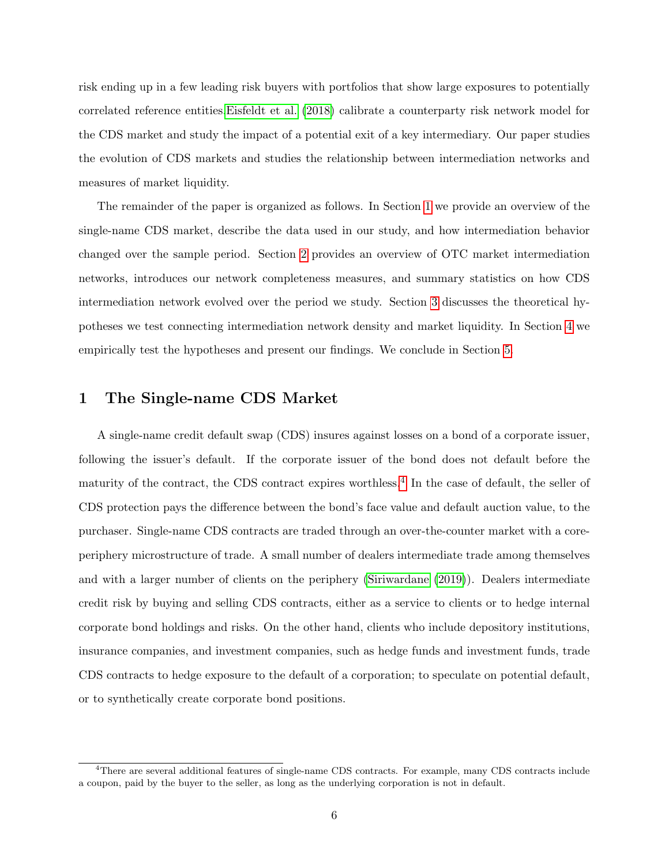risk ending up in a few leading risk buyers with portfolios that show large exposures to potentially correlated reference entities[.Eisfeldt et al.](#page-41-10) [\(2018\)](#page-41-10) calibrate a counterparty risk network model for the CDS market and study the impact of a potential exit of a key intermediary. Our paper studies the evolution of CDS markets and studies the relationship between intermediation networks and measures of market liquidity.

The remainder of the paper is organized as follows. In Section [1](#page-6-0) we provide an overview of the single-name CDS market, describe the data used in our study, and how intermediation behavior changed over the sample period. Section [2](#page-13-0) provides an overview of OTC market intermediation networks, introduces our network completeness measures, and summary statistics on how CDS intermediation network evolved over the period we study. Section [3](#page-20-0) discusses the theoretical hypotheses we test connecting intermediation network density and market liquidity. In Section [4](#page-23-0) we empirically test the hypotheses and present our findings. We conclude in Section [5.](#page-38-0)

## <span id="page-6-0"></span>1 The Single-name CDS Market

A single-name credit default swap (CDS) insures against losses on a bond of a corporate issuer, following the issuer's default. If the corporate issuer of the bond does not default before the maturity of the contract, the CDS contract expires worthless.<sup>[4](#page-6-1)</sup> In the case of default, the seller of CDS protection pays the difference between the bond's face value and default auction value, to the purchaser. Single-name CDS contracts are traded through an over-the-counter market with a coreperiphery microstructure of trade. A small number of dealers intermediate trade among themselves and with a larger number of clients on the periphery [\(Siriwardane](#page-42-6) [\(2019\)](#page-42-6)). Dealers intermediate credit risk by buying and selling CDS contracts, either as a service to clients or to hedge internal corporate bond holdings and risks. On the other hand, clients who include depository institutions, insurance companies, and investment companies, such as hedge funds and investment funds, trade CDS contracts to hedge exposure to the default of a corporation; to speculate on potential default, or to synthetically create corporate bond positions.

<span id="page-6-1"></span><sup>4</sup>There are several additional features of single-name CDS contracts. For example, many CDS contracts include a coupon, paid by the buyer to the seller, as long as the underlying corporation is not in default.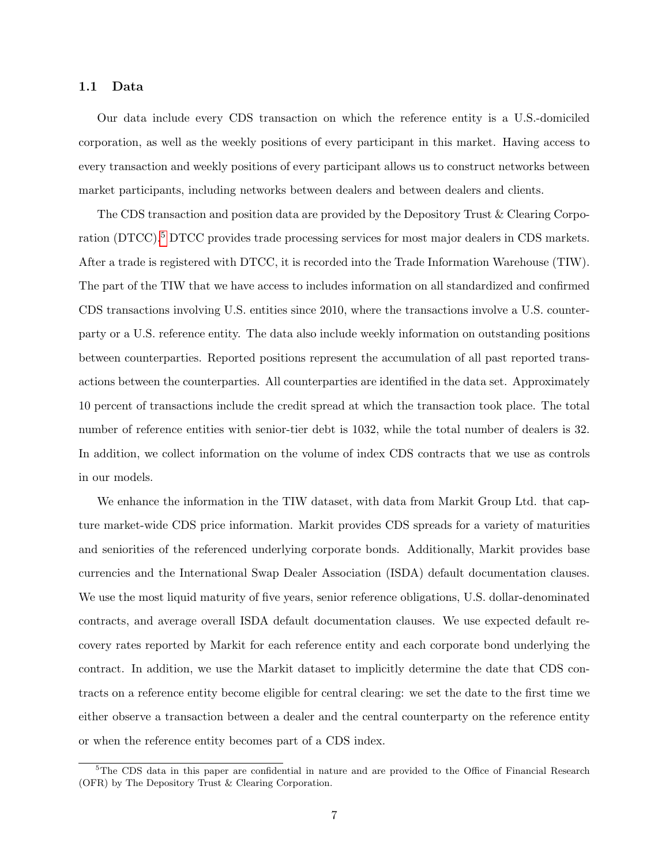### 1.1 Data

Our data include every CDS transaction on which the reference entity is a U.S.-domiciled corporation, as well as the weekly positions of every participant in this market. Having access to every transaction and weekly positions of every participant allows us to construct networks between market participants, including networks between dealers and between dealers and clients.

The CDS transaction and position data are provided by the Depository Trust & Clearing Corpo-ration (DTCC).<sup>[5](#page-7-0)</sup> DTCC provides trade processing services for most major dealers in CDS markets. After a trade is registered with DTCC, it is recorded into the Trade Information Warehouse (TIW). The part of the TIW that we have access to includes information on all standardized and confirmed CDS transactions involving U.S. entities since 2010, where the transactions involve a U.S. counterparty or a U.S. reference entity. The data also include weekly information on outstanding positions between counterparties. Reported positions represent the accumulation of all past reported transactions between the counterparties. All counterparties are identified in the data set. Approximately 10 percent of transactions include the credit spread at which the transaction took place. The total number of reference entities with senior-tier debt is 1032, while the total number of dealers is 32. In addition, we collect information on the volume of index CDS contracts that we use as controls in our models.

We enhance the information in the TIW dataset, with data from Markit Group Ltd. that capture market-wide CDS price information. Markit provides CDS spreads for a variety of maturities and seniorities of the referenced underlying corporate bonds. Additionally, Markit provides base currencies and the International Swap Dealer Association (ISDA) default documentation clauses. We use the most liquid maturity of five years, senior reference obligations, U.S. dollar-denominated contracts, and average overall ISDA default documentation clauses. We use expected default recovery rates reported by Markit for each reference entity and each corporate bond underlying the contract. In addition, we use the Markit dataset to implicitly determine the date that CDS contracts on a reference entity become eligible for central clearing: we set the date to the first time we either observe a transaction between a dealer and the central counterparty on the reference entity or when the reference entity becomes part of a CDS index.

<span id="page-7-0"></span> $5$ The CDS data in this paper are confidential in nature and are provided to the Office of Financial Research (OFR) by The Depository Trust & Clearing Corporation.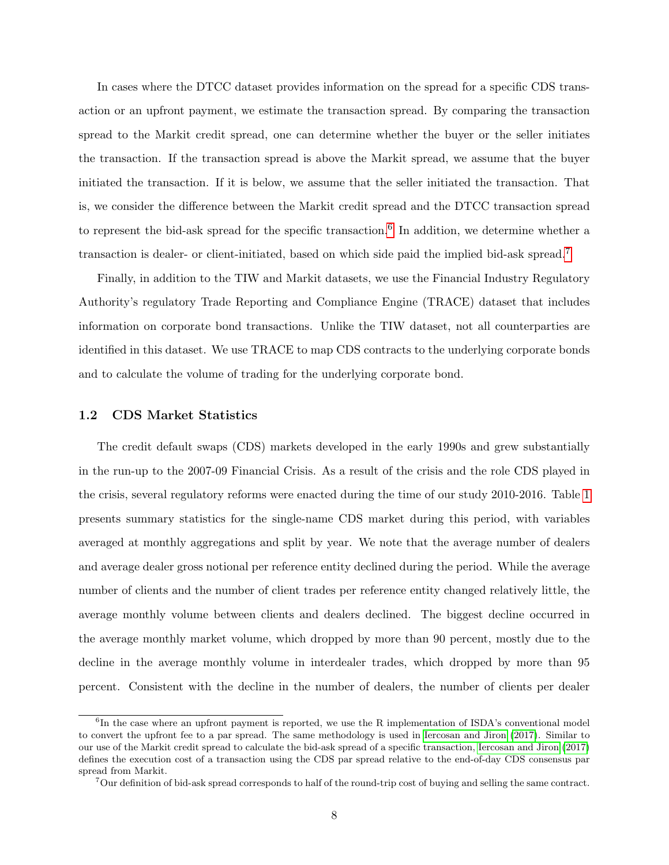In cases where the DTCC dataset provides information on the spread for a specific CDS transaction or an upfront payment, we estimate the transaction spread. By comparing the transaction spread to the Markit credit spread, one can determine whether the buyer or the seller initiates the transaction. If the transaction spread is above the Markit spread, we assume that the buyer initiated the transaction. If it is below, we assume that the seller initiated the transaction. That is, we consider the difference between the Markit credit spread and the DTCC transaction spread to represent the bid-ask spread for the specific transaction.<sup>[6](#page-8-0)</sup> In addition, we determine whether a transaction is dealer- or client-initiated, based on which side paid the implied bid-ask spread.[7](#page-8-1)

Finally, in addition to the TIW and Markit datasets, we use the Financial Industry Regulatory Authority's regulatory Trade Reporting and Compliance Engine (TRACE) dataset that includes information on corporate bond transactions. Unlike the TIW dataset, not all counterparties are identified in this dataset. We use TRACE to map CDS contracts to the underlying corporate bonds and to calculate the volume of trading for the underlying corporate bond.

### 1.2 CDS Market Statistics

The credit default swaps (CDS) markets developed in the early 1990s and grew substantially in the run-up to the 2007-09 Financial Crisis. As a result of the crisis and the role CDS played in the crisis, several regulatory reforms were enacted during the time of our study 2010-2016. Table [1](#page-9-0) presents summary statistics for the single-name CDS market during this period, with variables averaged at monthly aggregations and split by year. We note that the average number of dealers and average dealer gross notional per reference entity declined during the period. While the average number of clients and the number of client trades per reference entity changed relatively little, the average monthly volume between clients and dealers declined. The biggest decline occurred in the average monthly market volume, which dropped by more than 90 percent, mostly due to the decline in the average monthly volume in interdealer trades, which dropped by more than 95 percent. Consistent with the decline in the number of dealers, the number of clients per dealer

<span id="page-8-0"></span><sup>&</sup>lt;sup>6</sup>In the case where an upfront payment is reported, we use the R implementation of ISDA's conventional model to convert the upfront fee to a par spread. The same methodology is used in [Iercosan and Jiron](#page-41-11) [\(2017\)](#page-41-11). Similar to our use of the Markit credit spread to calculate the bid-ask spread of a specific transaction, [Iercosan and Jiron](#page-41-11) [\(2017\)](#page-41-11) defines the execution cost of a transaction using the CDS par spread relative to the end-of-day CDS consensus par spread from Markit.

<span id="page-8-1"></span><sup>&</sup>lt;sup>7</sup>Our definition of bid-ask spread corresponds to half of the round-trip cost of buying and selling the same contract.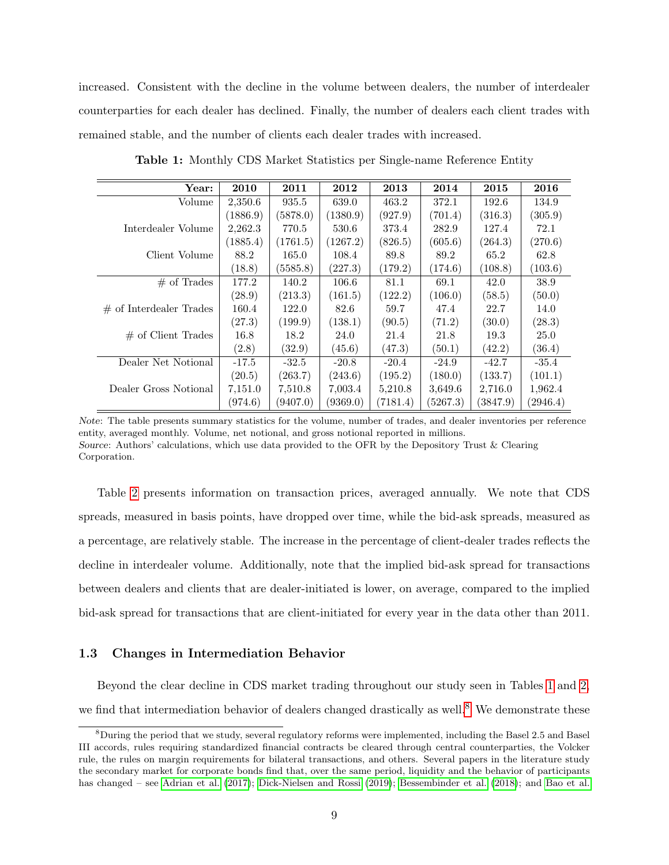increased. Consistent with the decline in the volume between dealers, the number of interdealer counterparties for each dealer has declined. Finally, the number of dealers each client trades with remained stable, and the number of clients each dealer trades with increased.

<span id="page-9-0"></span>

| Year:                     | 2010     | 2011     | 2012     | 2013     | 2014     | 2015     | 2016     |
|---------------------------|----------|----------|----------|----------|----------|----------|----------|
| Volume                    | 2,350.6  | 935.5    | 639.0    | 463.2    | 372.1    | 192.6    | 134.9    |
|                           | (1886.9) | (5878.0) | (1380.9) | (927.9)  | (701.4)  | (316.3)  | (305.9)  |
| Interdealer Volume        | 2,262.3  | 770.5    | 530.6    | 373.4    | 282.9    | 127.4    | 72.1     |
|                           | (1885.4) | (1761.5) | (1267.2) | (826.5)  | (605.6)  | (264.3)  | (270.6)  |
| Client Volume             | 88.2     | 165.0    | 108.4    | 89.8     | 89.2     | 65.2     | 62.8     |
|                           | (18.8)   | (5585.8) | (227.3)  | (179.2)  | (174.6)  | (108.8)  | (103.6)  |
| $#$ of Trades             | 177.2    | 140.2    | 106.6    | 81.1     | 69.1     | 42.0     | 38.9     |
|                           | (28.9)   | (213.3)  | (161.5)  | (122.2)  | (106.0)  | (58.5)   | (50.0)   |
| $#$ of Interdealer Trades | 160.4    | 122.0    | 82.6     | 59.7     | 47.4     | 22.7     | 14.0     |
|                           | (27.3)   | (199.9)  | (138.1)  | (90.5)   | (71.2)   | (30.0)   | (28.3)   |
| $\#$ of Client Trades     | 16.8     | 18.2     | 24.0     | 21.4     | 21.8     | 19.3     | 25.0     |
|                           | (2.8)    | (32.9)   | (45.6)   | (47.3)   | (50.1)   | (42.2)   | (36.4)   |
| Dealer Net Notional       | $-17.5$  | $-32.5$  | $-20.8$  | $-20.4$  | $-24.9$  | $-42.7$  | $-35.4$  |
|                           | (20.5)   | (263.7)  | (243.6)  | (195.2)  | (180.0)  | (133.7)  | (101.1)  |
| Dealer Gross Notional     | 7,151.0  | 7,510.8  | 7,003.4  | 5,210.8  | 3,649.6  | 2,716.0  | 1,962.4  |
|                           | (974.6)  | (9407.0) | (9369.0) | (7181.4) | (5267.3) | (3847.9) | (2946.4) |

Table 1: Monthly CDS Market Statistics per Single-name Reference Entity

Note: The table presents summary statistics for the volume, number of trades, and dealer inventories per reference entity, averaged monthly. Volume, net notional, and gross notional reported in millions. Source: Authors' calculations, which use data provided to the OFR by the Depository Trust & Clearing Corporation.

Table [2](#page-10-0) presents information on transaction prices, averaged annually. We note that CDS spreads, measured in basis points, have dropped over time, while the bid-ask spreads, measured as a percentage, are relatively stable. The increase in the percentage of client-dealer trades reflects the decline in interdealer volume. Additionally, note that the implied bid-ask spread for transactions between dealers and clients that are dealer-initiated is lower, on average, compared to the implied bid-ask spread for transactions that are client-initiated for every year in the data other than 2011.

### 1.3 Changes in Intermediation Behavior

Beyond the clear decline in CDS market trading throughout our study seen in Tables [1](#page-9-0) and [2,](#page-10-0) we find that intermediation behavior of dealers changed drastically as well.<sup>[8](#page-9-1)</sup> We demonstrate these

<span id="page-9-1"></span> $8$ During the period that we study, several regulatory reforms were implemented, including the Basel 2.5 and Basel III accords, rules requiring standardized financial contracts be cleared through central counterparties, the Volcker rule, the rules on margin requirements for bilateral transactions, and others. Several papers in the literature study the secondary market for corporate bonds find that, over the same period, liquidity and the behavior of participants has changed – see [Adrian et al.](#page-40-8) [\(2017\)](#page-40-8); [Dick-Nielsen and Rossi](#page-40-9) [\(2019\)](#page-40-9); [Bessembinder et al.](#page-40-10) [\(2018\)](#page-40-10); and [Bao et al.](#page-40-11)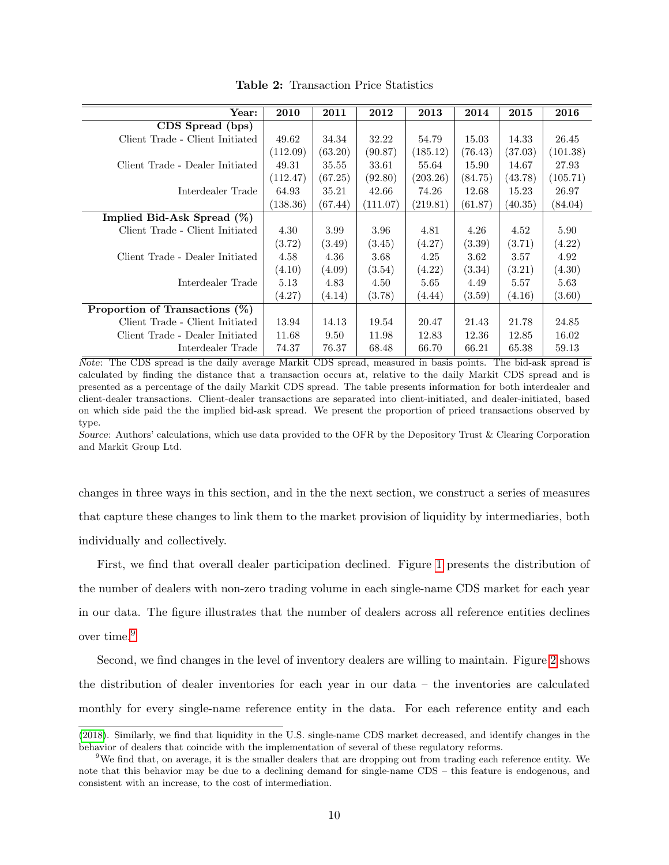<span id="page-10-0"></span>

| $\operatorname{Year:}$            | 2010     | 2011    | 2012     | 2013     | 2014    | 2015    | 2016     |
|-----------------------------------|----------|---------|----------|----------|---------|---------|----------|
| CDS Spread (bps)                  |          |         |          |          |         |         |          |
| Client Trade - Client Initiated   | 49.62    | 34.34   | 32.22    | 54.79    | 15.03   | 14.33   | 26.45    |
|                                   | (112.09) | (63.20) | (90.87)  | (185.12) | (76.43) | (37.03) | (101.38) |
| Client Trade - Dealer Initiated   | 49.31    | 35.55   | 33.61    | 55.64    | 15.90   | 14.67   | 27.93    |
|                                   | (112.47) | (67.25) | (92.80)  | (203.26) | (84.75) | (43.78) | (105.71) |
| Interdealer Trade                 | 64.93    | 35.21   | 42.66    | 74.26    | 12.68   | 15.23   | 26.97    |
|                                   | (138.36) | (67.44) | (111.07) | (219.81) | (61.87) | (40.35) | (84.04)  |
| Implied Bid-Ask Spread $(\%)$     |          |         |          |          |         |         |          |
| Client Trade - Client Initiated   | 4.30     | 3.99    | 3.96     | 4.81     | 4.26    | 4.52    | 5.90     |
|                                   | (3.72)   | (3.49)  | (3.45)   | (4.27)   | (3.39)  | (3.71)  | (4.22)   |
| Client Trade - Dealer Initiated   | 4.58     | 4.36    | 3.68     | 4.25     | 3.62    | 3.57    | 4.92     |
|                                   | (4.10)   | (4.09)  | (3.54)   | (4.22)   | (3.34)  | (3.21)  | (4.30)   |
| Interdealer Trade                 | 5.13     | 4.83    | 4.50     | 5.65     | 4.49    | 5.57    | 5.63     |
|                                   | (4.27)   | (4.14)  | (3.78)   | (4.44)   | (3.59)  | (4.16)  | (3.60)   |
| Proportion of Transactions $(\%)$ |          |         |          |          |         |         |          |
| Client Trade - Client Initiated   | 13.94    | 14.13   | 19.54    | 20.47    | 21.43   | 21.78   | 24.85    |
| Client Trade - Dealer Initiated   | 11.68    | 9.50    | 11.98    | 12.83    | 12.36   | 12.85   | 16.02    |
| Interdealer Trade                 | 74.37    | 76.37   | 68.48    | 66.70    | 66.21   | 65.38   | 59.13    |

Table 2: Transaction Price Statistics

Note: The CDS spread is the daily average Markit CDS spread, measured in basis points. The bid-ask spread is calculated by finding the distance that a transaction occurs at, relative to the daily Markit CDS spread and is presented as a percentage of the daily Markit CDS spread. The table presents information for both interdealer and client-dealer transactions. Client-dealer transactions are separated into client-initiated, and dealer-initiated, based on which side paid the the implied bid-ask spread. We present the proportion of priced transactions observed by type.

Source: Authors' calculations, which use data provided to the OFR by the Depository Trust & Clearing Corporation and Markit Group Ltd.

changes in three ways in this section, and in the the next section, we construct a series of measures that capture these changes to link them to the market provision of liquidity by intermediaries, both individually and collectively.

First, we find that overall dealer participation declined. Figure [1](#page-11-0) presents the distribution of the number of dealers with non-zero trading volume in each single-name CDS market for each year in our data. The figure illustrates that the number of dealers across all reference entities declines over time.[9](#page-10-1)

Second, we find changes in the level of inventory dealers are willing to maintain. Figure [2](#page-11-1) shows the distribution of dealer inventories for each year in our data – the inventories are calculated monthly for every single-name reference entity in the data. For each reference entity and each

[<sup>\(2018\)</sup>](#page-40-11). Similarly, we find that liquidity in the U.S. single-name CDS market decreased, and identify changes in the behavior of dealers that coincide with the implementation of several of these regulatory reforms.

<span id="page-10-1"></span><sup>&</sup>lt;sup>9</sup>We find that, on average, it is the smaller dealers that are dropping out from trading each reference entity. We note that this behavior may be due to a declining demand for single-name CDS – this feature is endogenous, and consistent with an increase, to the cost of intermediation.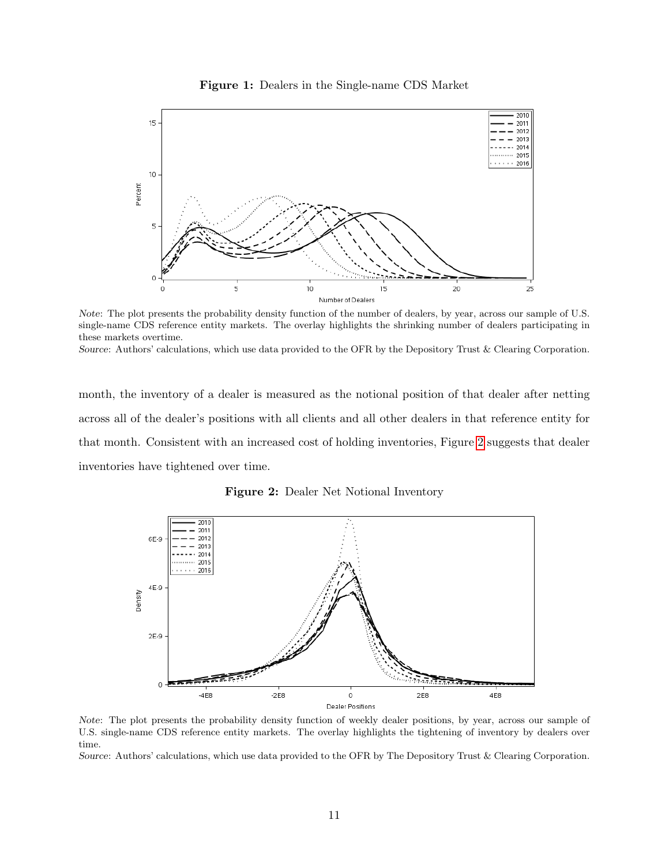<span id="page-11-0"></span>

Figure 1: Dealers in the Single-name CDS Market

Note: The plot presents the probability density function of the number of dealers, by year, across our sample of U.S. single-name CDS reference entity markets. The overlay highlights the shrinking number of dealers participating in these markets overtime. Source: Authors' calculations, which use data provided to the OFR by the Depository Trust & Clearing Corporation.

month, the inventory of a dealer is measured as the notional position of that dealer after netting across all of the dealer's positions with all clients and all other dealers in that reference entity for that month. Consistent with an increased cost of holding inventories, Figure [2](#page-11-1) suggests that dealer inventories have tightened over time.

<span id="page-11-1"></span>

Figure 2: Dealer Net Notional Inventory

Note: The plot presents the probability density function of weekly dealer positions, by year, across our sample of U.S. single-name CDS reference entity markets. The overlay highlights the tightening of inventory by dealers over time.

Source: Authors' calculations, which use data provided to the OFR by The Depository Trust & Clearing Corporation.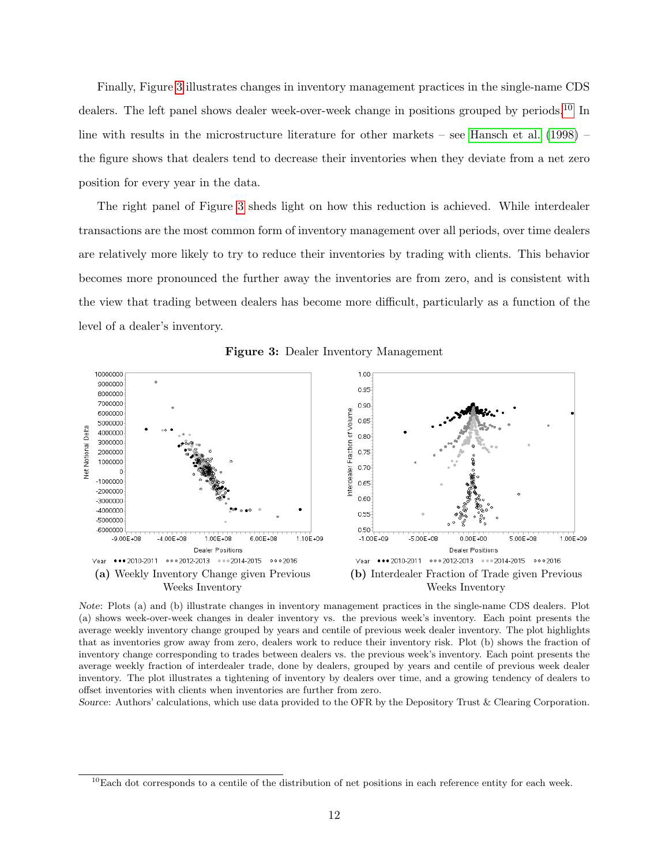Finally, Figure [3](#page-12-0) illustrates changes in inventory management practices in the single-name CDS dealers. The left panel shows dealer week-over-week change in positions grouped by periods.<sup>[10](#page-12-1)</sup> In line with results in the microstructure literature for other markets – see [Hansch et al.](#page-41-8) [\(1998\)](#page-41-8) – the figure shows that dealers tend to decrease their inventories when they deviate from a net zero position for every year in the data.

The right panel of Figure [3](#page-12-0) sheds light on how this reduction is achieved. While interdealer transactions are the most common form of inventory management over all periods, over time dealers are relatively more likely to try to reduce their inventories by trading with clients. This behavior becomes more pronounced the further away the inventories are from zero, and is consistent with the view that trading between dealers has become more difficult, particularly as a function of the level of a dealer's inventory.

<span id="page-12-0"></span>

Figure 3: Dealer Inventory Management

Note: Plots (a) and (b) illustrate changes in inventory management practices in the single-name CDS dealers. Plot (a) shows week-over-week changes in dealer inventory vs. the previous week's inventory. Each point presents the average weekly inventory change grouped by years and centile of previous week dealer inventory. The plot highlights that as inventories grow away from zero, dealers work to reduce their inventory risk. Plot (b) shows the fraction of inventory change corresponding to trades between dealers vs. the previous week's inventory. Each point presents the average weekly fraction of interdealer trade, done by dealers, grouped by years and centile of previous week dealer inventory. The plot illustrates a tightening of inventory by dealers over time, and a growing tendency of dealers to offset inventories with clients when inventories are further from zero.

Source: Authors' calculations, which use data provided to the OFR by the Depository Trust & Clearing Corporation.

<span id="page-12-1"></span> $10$ Each dot corresponds to a centile of the distribution of net positions in each reference entity for each week.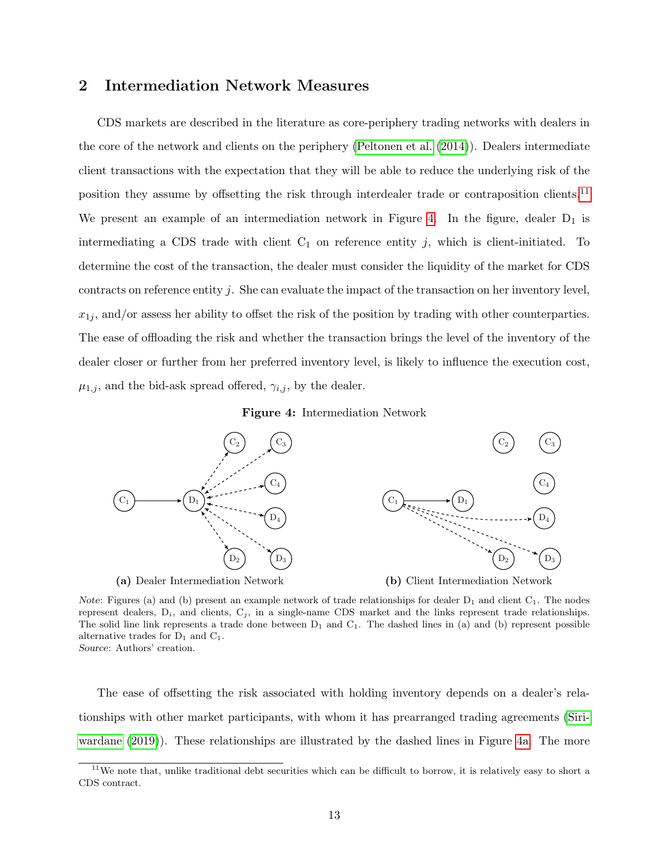### <span id="page-13-0"></span>2 Intermediation Network Measures

CDS markets are described in the literature as core-periphery trading networks with dealers in the core of the network and clients on the periphery [\(Peltonen et al.](#page-41-12) [\(2014\)](#page-41-12)). Dealers intermediate client transactions with the expectation that they will be able to reduce the underlying risk of the position they assume by offsetting the risk through interdealer trade or contraposition clients.<sup>[11](#page-13-1)</sup> We present an example of an intermediation network in Figure [4.](#page-13-2) In the figure, dealer  $D_1$  is intermediating a CDS trade with client  $C_1$  on reference entity j, which is client-initiated. To determine the cost of the transaction, the dealer must consider the liquidity of the market for CDS contracts on reference entity  $j$ . She can evaluate the impact of the transaction on her inventory level,  $x_{1i}$ , and/or assess her ability to offset the risk of the position by trading with other counterparties. The ease of offloading the risk and whether the transaction brings the level of the inventory of the dealer closer or further from her preferred inventory level, is likely to influence the execution cost,  $\mu_{1,j}$ , and the bid-ask spread offered,  $\gamma_{i,j}$ , by the dealer.

Figure 4: Intermediation Network

<span id="page-13-2"></span>

Note: Figures (a) and (b) present an example network of trade relationships for dealer  $D_1$  and client  $C_1$ . The nodes represent dealers,  $D_i$ , and clients,  $C_j$ , in a single-name CDS market and the links represent trade relationships. The solid line link represents a trade done between  $D_1$  and  $C_1$ . The dashed lines in (a) and (b) represent possible alternative trades for  $D_1$  and  $C_1$ . Source: Authors' creation.

The ease of offsetting the risk associated with holding inventory depends on a dealer's relationships with other market participants, with whom it has prearranged trading agreements [\(Siri](#page-42-6)[wardane](#page-42-6) [\(2019\)](#page-42-6)). These relationships are illustrated by the dashed lines in Figure [4a.](#page-13-2) The more

<span id="page-13-1"></span> $11$ We note that, unlike traditional debt securities which can be difficult to borrow, it is relatively easy to short a CDS contract.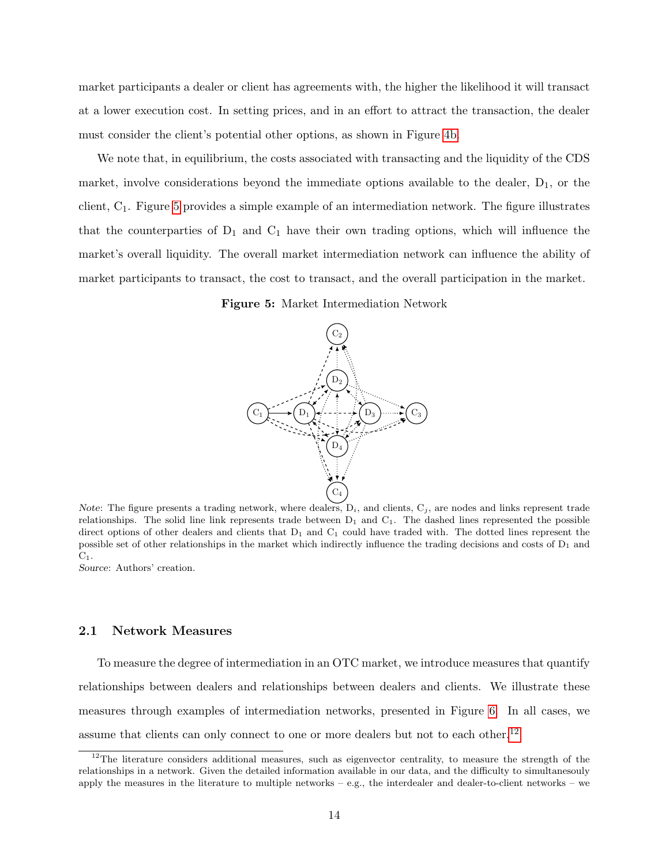market participants a dealer or client has agreements with, the higher the likelihood it will transact at a lower execution cost. In setting prices, and in an effort to attract the transaction, the dealer must consider the client's potential other options, as shown in Figure [4b.](#page-13-2)

<span id="page-14-0"></span>We note that, in equilibrium, the costs associated with transacting and the liquidity of the CDS market, involve considerations beyond the immediate options available to the dealer,  $D_1$ , or the client, C1. Figure [5](#page-14-0) provides a simple example of an intermediation network. The figure illustrates that the counterparties of  $D_1$  and  $C_1$  have their own trading options, which will influence the market's overall liquidity. The overall market intermediation network can influence the ability of market participants to transact, the cost to transact, and the overall participation in the market.

Figure 5: Market Intermediation Network



Note: The figure presents a trading network, where dealers,  $D_i$ , and clients,  $C_j$ , are nodes and links represent trade relationships. The solid line link represents trade between  $D_1$  and  $C_1$ . The dashed lines represented the possible direct options of other dealers and clients that  $D_1$  and  $C_1$  could have traded with. The dotted lines represent the possible set of other relationships in the market which indirectly influence the trading decisions and costs of  $D_1$  and  $C_1$ .

Source: Authors' creation.

### 2.1 Network Measures

To measure the degree of intermediation in an OTC market, we introduce measures that quantify relationships between dealers and relationships between dealers and clients. We illustrate these measures through examples of intermediation networks, presented in Figure [6.](#page-15-0) In all cases, we assume that clients can only connect to one or more dealers but not to each other.<sup>[12](#page-14-1)</sup>

<span id="page-14-1"></span> $12$ The literature considers additional measures, such as eigenvector centrality, to measure the strength of the relationships in a network. Given the detailed information available in our data, and the difficulty to simultanesouly apply the measures in the literature to multiple networks  $-$  e.g., the interdealer and dealer-to-client networks  $-$  we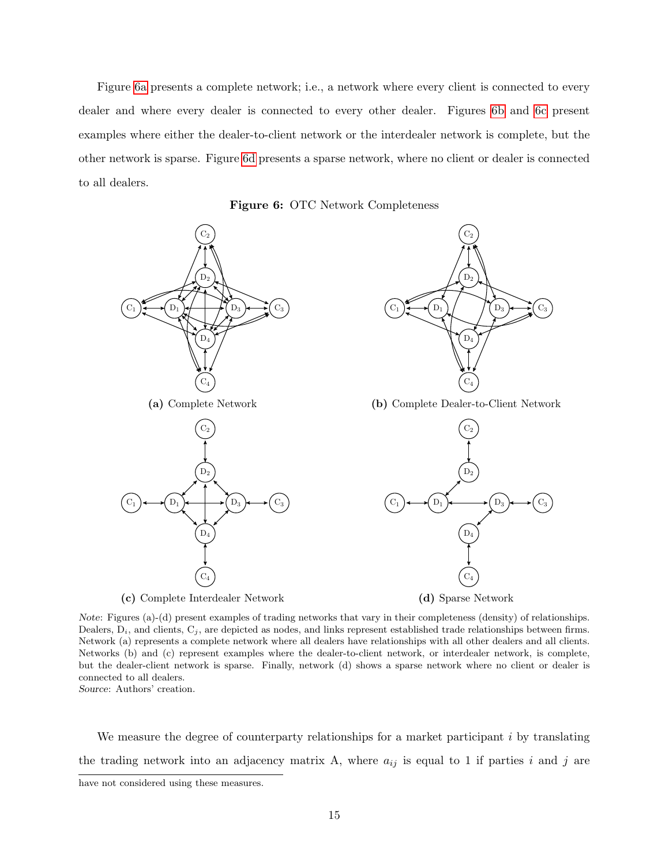Figure [6a](#page-15-0) presents a complete network; i.e., a network where every client is connected to every dealer and where every dealer is connected to every other dealer. Figures [6b](#page-15-0) and [6c](#page-15-0) present examples where either the dealer-to-client network or the interdealer network is complete, but the other network is sparse. Figure [6d](#page-15-0) presents a sparse network, where no client or dealer is connected to all dealers.



<span id="page-15-0"></span>

Note: Figures (a)-(d) present examples of trading networks that vary in their completeness (density) of relationships. Dealers,  $D_i$ , and clients,  $C_j$ , are depicted as nodes, and links represent established trade relationships between firms. Network (a) represents a complete network where all dealers have relationships with all other dealers and all clients. Networks (b) and (c) represent examples where the dealer-to-client network, or interdealer network, is complete, but the dealer-client network is sparse. Finally, network (d) shows a sparse network where no client or dealer is connected to all dealers.

Source: Authors' creation.

We measure the degree of counterparty relationships for a market participant  $i$  by translating the trading network into an adjacency matrix A, where  $a_{ij}$  is equal to 1 if parties i and j are

have not considered using these measures.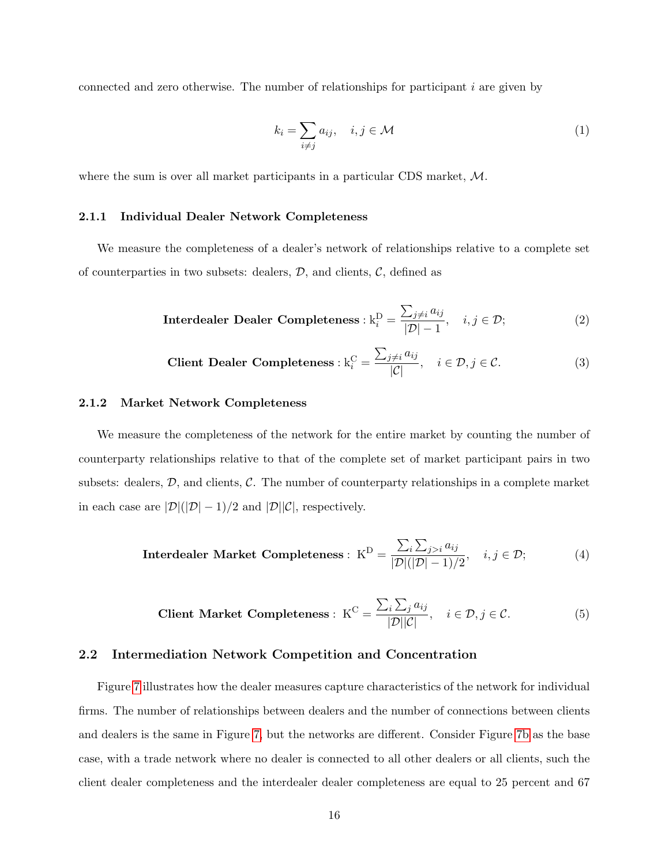connected and zero otherwise. The number of relationships for participant  $i$  are given by

$$
k_i = \sum_{i \neq j} a_{ij}, \quad i, j \in \mathcal{M}
$$
 (1)

where the sum is over all market participants in a particular CDS market, M.

### 2.1.1 Individual Dealer Network Completeness

We measure the completeness of a dealer's network of relationships relative to a complete set of counterparties in two subsets: dealers,  $D$ , and clients,  $C$ , defined as

**Interdealer Dealer Completeness**: 
$$
k_i^D = \frac{\sum_{j \neq i} a_{ij}}{|\mathcal{D}| - 1}
$$
,  $i, j \in \mathcal{D}$ ; (2)

$$
\text{Client Dealer Completeness}: \mathbf{k}_i^{\mathbf{C}} = \frac{\sum_{j \neq i} a_{ij}}{|\mathcal{C}|}, \quad i \in \mathcal{D}, j \in \mathcal{C}.\tag{3}
$$

### 2.1.2 Market Network Completeness

We measure the completeness of the network for the entire market by counting the number of counterparty relationships relative to that of the complete set of market participant pairs in two subsets: dealers,  $D$ , and clients,  $C$ . The number of counterparty relationships in a complete market in each case are  $|\mathcal{D}|(|\mathcal{D}| - 1)/2$  and  $|\mathcal{D}||\mathcal{C}|$ , respectively.

**Interdealer Market Completeness**: 
$$
K^D = \frac{\sum_i \sum_{j>i} a_{ij}}{|D|(|D|-1)/2}
$$
,  $i, j \in \mathcal{D}$ ; (4)

$$
\text{Client Market Completeness}: \ \mathbf{K}^{\mathbf{C}} = \frac{\sum_{i} \sum_{j} a_{ij}}{|\mathcal{D}||\mathcal{C}|}, \quad i \in \mathcal{D}, j \in \mathcal{C}.\tag{5}
$$

### 2.2 Intermediation Network Competition and Concentration

Figure [7](#page-17-0) illustrates how the dealer measures capture characteristics of the network for individual firms. The number of relationships between dealers and the number of connections between clients and dealers is the same in Figure [7,](#page-17-0) but the networks are different. Consider Figure [7b](#page-17-0) as the base case, with a trade network where no dealer is connected to all other dealers or all clients, such the client dealer completeness and the interdealer dealer completeness are equal to 25 percent and 67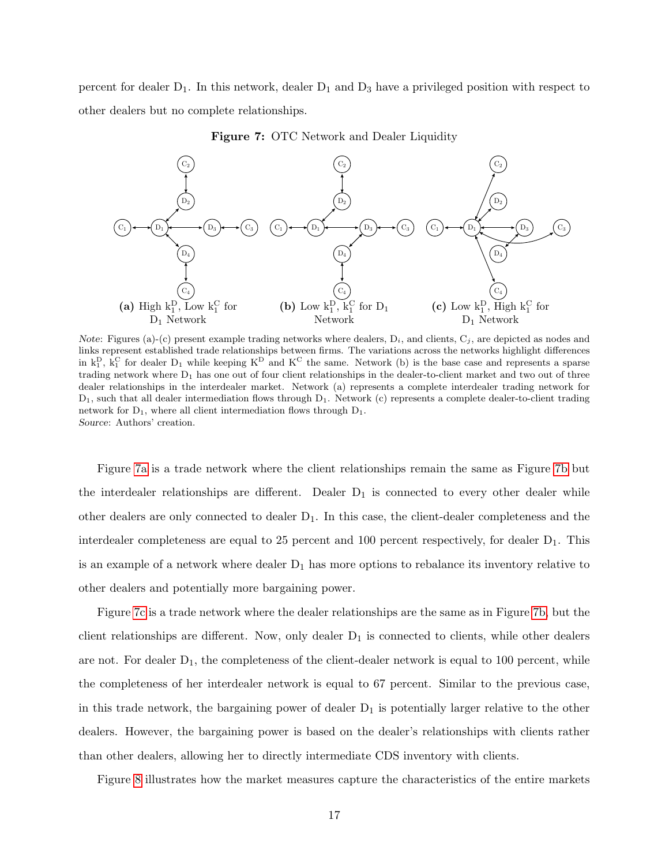percent for dealer  $D_1$ . In this network, dealer  $D_1$  and  $D_3$  have a privileged position with respect to other dealers but no complete relationships.

<span id="page-17-0"></span>

Figure 7: OTC Network and Dealer Liquidity

Note: Figures (a)-(c) present example trading networks where dealers,  $D_i$ , and clients,  $C_j$ , are depicted as nodes and links represent established trade relationships between firms. The variations across the networks highlight differences in  $k_1^D$ ,  $k_1^C$  for dealer  $D_1$  while keeping  $K^D$  and  $K^C$  the same. Network (b) is the base case and represents a sparse trading network where  $D_1$  has one out of four client relationships in the dealer-to-client market and two out of three dealer relationships in the interdealer market. Network (a) represents a complete interdealer trading network for  $D_1$ , such that all dealer intermediation flows through  $D_1$ . Network (c) represents a complete dealer-to-client trading network for  $D_1$ , where all client intermediation flows through  $D_1$ . Source: Authors' creation.

Figure [7a](#page-17-0) is a trade network where the client relationships remain the same as Figure [7b](#page-17-0) but the interdealer relationships are different. Dealer  $D_1$  is connected to every other dealer while other dealers are only connected to dealer  $D_1$ . In this case, the client-dealer completeness and the interdealer completeness are equal to 25 percent and 100 percent respectively, for dealer  $D_1$ . This is an example of a network where dealer  $D_1$  has more options to rebalance its inventory relative to other dealers and potentially more bargaining power.

Figure [7c](#page-17-0) is a trade network where the dealer relationships are the same as in Figure [7b,](#page-17-0) but the client relationships are different. Now, only dealer  $D_1$  is connected to clients, while other dealers are not. For dealer  $D_1$ , the completeness of the client-dealer network is equal to 100 percent, while the completeness of her interdealer network is equal to 67 percent. Similar to the previous case, in this trade network, the bargaining power of dealer  $D_1$  is potentially larger relative to the other dealers. However, the bargaining power is based on the dealer's relationships with clients rather than other dealers, allowing her to directly intermediate CDS inventory with clients.

Figure [8](#page-18-0) illustrates how the market measures capture the characteristics of the entire markets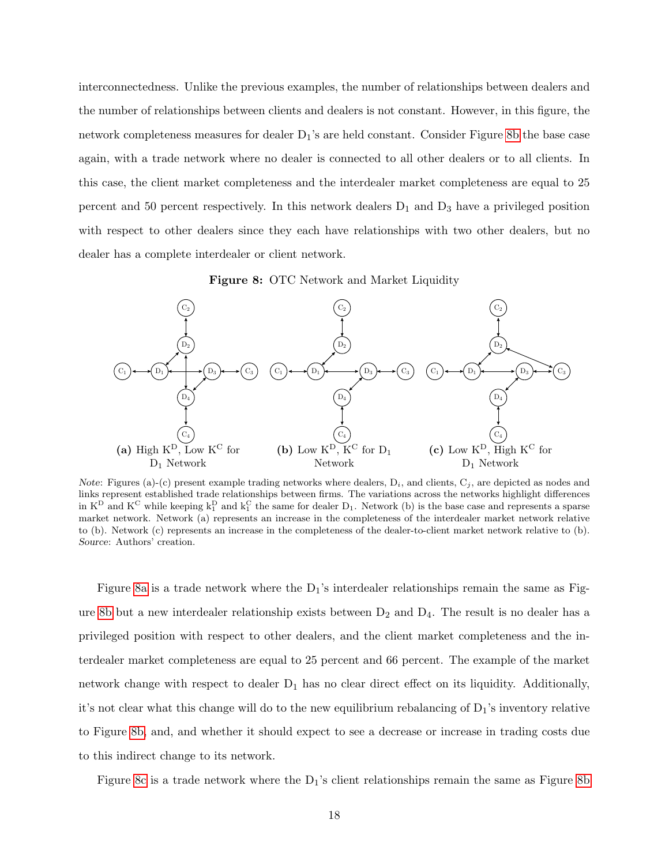interconnectedness. Unlike the previous examples, the number of relationships between dealers and the number of relationships between clients and dealers is not constant. However, in this figure, the network completeness measures for dealer  $D_1$ 's are held constant. Consider Figure [8b](#page-18-0) the base case again, with a trade network where no dealer is connected to all other dealers or to all clients. In this case, the client market completeness and the interdealer market completeness are equal to 25 percent and 50 percent respectively. In this network dealers  $D_1$  and  $D_3$  have a privileged position with respect to other dealers since they each have relationships with two other dealers, but no dealer has a complete interdealer or client network.

Figure 8: OTC Network and Market Liquidity

<span id="page-18-0"></span>

Note: Figures (a)-(c) present example trading networks where dealers,  $D_i$ , and clients,  $C_j$ , are depicted as nodes and links represent established trade relationships between firms. The variations across the networks highlight differences in  $K^D$  and  $K^C$  while keeping  $k_1^D$  and  $k_1^C$  the same for dealer  $D_1$ . Network (b) is the base case and represents a sparse market network. Network (a) represents an increase in the completeness of the interdealer market network relative to (b). Network (c) represents an increase in the completeness of the dealer-to-client market network relative to (b). Source: Authors' creation.

Figure [8a](#page-18-0) is a trade network where the  $D_1$ 's interdealer relationships remain the same as Fig-ure [8b](#page-18-0) but a new interdealer relationship exists between  $D_2$  and  $D_4$ . The result is no dealer has a privileged position with respect to other dealers, and the client market completeness and the interdealer market completeness are equal to 25 percent and 66 percent. The example of the market network change with respect to dealer  $D_1$  has no clear direct effect on its liquidity. Additionally, it's not clear what this change will do to the new equilibrium rebalancing of  $D_1$ 's inventory relative to Figure [8b,](#page-18-0) and, and whether it should expect to see a decrease or increase in trading costs due to this indirect change to its network.

Figure [8c](#page-18-0) is a trade network where the  $D_1$ 's client relationships remain the same as Figure [8b](#page-18-0)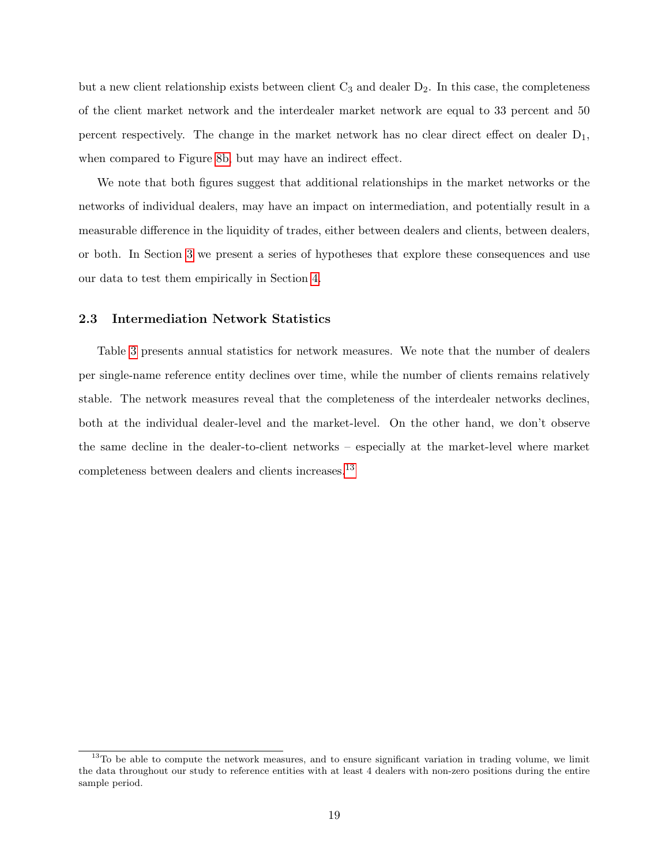but a new client relationship exists between client  $C_3$  and dealer  $D_2$ . In this case, the completeness of the client market network and the interdealer market network are equal to 33 percent and 50 percent respectively. The change in the market network has no clear direct effect on dealer  $D_1$ , when compared to Figure [8b,](#page-18-0) but may have an indirect effect.

We note that both figures suggest that additional relationships in the market networks or the networks of individual dealers, may have an impact on intermediation, and potentially result in a measurable difference in the liquidity of trades, either between dealers and clients, between dealers, or both. In Section [3](#page-20-0) we present a series of hypotheses that explore these consequences and use our data to test them empirically in Section [4.](#page-23-0)

### 2.3 Intermediation Network Statistics

Table [3](#page-20-1) presents annual statistics for network measures. We note that the number of dealers per single-name reference entity declines over time, while the number of clients remains relatively stable. The network measures reveal that the completeness of the interdealer networks declines, both at the individual dealer-level and the market-level. On the other hand, we don't observe the same decline in the dealer-to-client networks – especially at the market-level where market completeness between dealers and clients increases.[13](#page-19-0)

<span id="page-19-0"></span><sup>&</sup>lt;sup>13</sup>To be able to compute the network measures, and to ensure significant variation in trading volume, we limit the data throughout our study to reference entities with at least 4 dealers with non-zero positions during the entire sample period.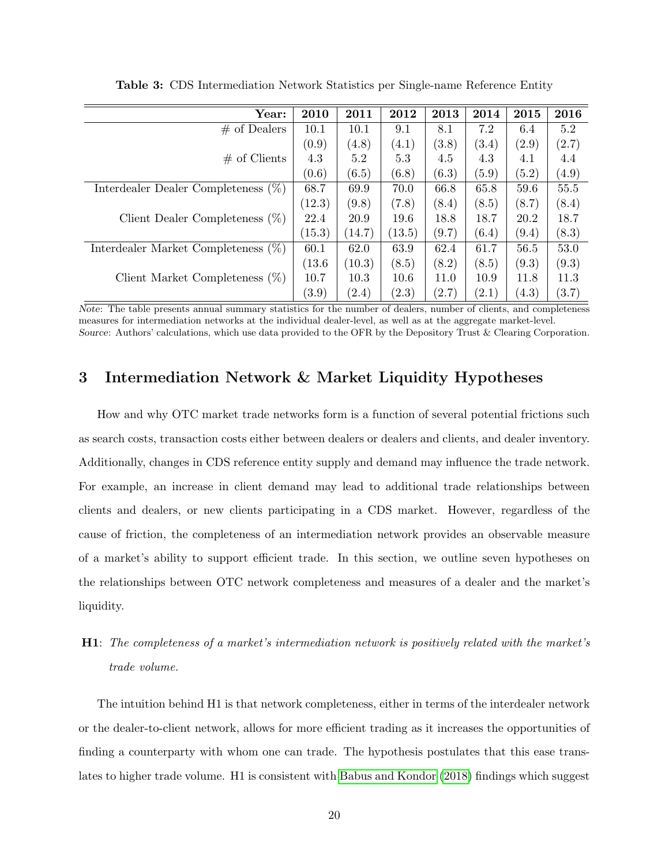<span id="page-20-1"></span>

| Year:                                  | 2010   | 2011   | 2012   | 2013  | 2014  | 2015  | 2016  |
|----------------------------------------|--------|--------|--------|-------|-------|-------|-------|
| $#$ of Dealers                         | 10.1   | 10.1   | 9.1    | 8.1   | 7.2   | 6.4   | 5.2   |
|                                        | (0.9)  | (4.8)  | (4.1)  | (3.8) | (3.4) | (2.9) | (2.7) |
| $#$ of Clients                         | 4.3    | 5.2    | 5.3    | 4.5   | 4.3   | 4.1   | 4.4   |
|                                        | (0.6)  | (6.5)  | (6.8)  | (6.3) | (5.9) | (5.2) | (4.9) |
| Interdealer Dealer Completeness $(\%)$ | 68.7   | 69.9   | 70.0   | 66.8  | 65.8  | 59.6  | 55.5  |
|                                        | (12.3) | (9.8)  | (7.8)  | (8.4) | (8.5) | (8.7) | (8.4) |
| Client Dealer Completeness $(\%)$      | 22.4   | 20.9   | 19.6   | 18.8  | 18.7  | 20.2  | 18.7  |
|                                        | (15.3) | (14.7) | (13.5) | (9.7) | (6.4) | (9.4) | (8.3) |
| Interdealer Market Completeness $(\%)$ | 60.1   | 62.0   | 63.9   | 62.4  | 61.7  | 56.5  | 53.0  |
|                                        | (13.6) | (10.3) | (8.5)  | (8.2) | (8.5) | (9.3) | (9.3) |
| Client Market Completeness $(\%)$      | 10.7   | 10.3   | 10.6   | 11.0  | 10.9  | 11.8  | 11.3  |
|                                        | (3.9)  | (2.4)  | (2.3)  | (2.7) | (2.1) | (4.3) | (3.7) |

Table 3: CDS Intermediation Network Statistics per Single-name Reference Entity

Note: The table presents annual summary statistics for the number of dealers, number of clients, and completeness measures for intermediation networks at the individual dealer-level, as well as at the aggregate market-level. Source: Authors' calculations, which use data provided to the OFR by the Depository Trust & Clearing Corporation.

## <span id="page-20-0"></span>3 Intermediation Network & Market Liquidity Hypotheses

How and why OTC market trade networks form is a function of several potential frictions such as search costs, transaction costs either between dealers or dealers and clients, and dealer inventory. Additionally, changes in CDS reference entity supply and demand may influence the trade network. For example, an increase in client demand may lead to additional trade relationships between clients and dealers, or new clients participating in a CDS market. However, regardless of the cause of friction, the completeness of an intermediation network provides an observable measure of a market's ability to support efficient trade. In this section, we outline seven hypotheses on the relationships between OTC network completeness and measures of a dealer and the market's liquidity.

## H1: The completeness of a market's intermediation network is positively related with the market's trade volume.

The intuition behind H1 is that network completeness, either in terms of the interdealer network or the dealer-to-client network, allows for more efficient trading as it increases the opportunities of finding a counterparty with whom one can trade. The hypothesis postulates that this ease translates to higher trade volume. H1 is consistent with [Babus and Kondor](#page-40-1) [\(2018\)](#page-40-1) findings which suggest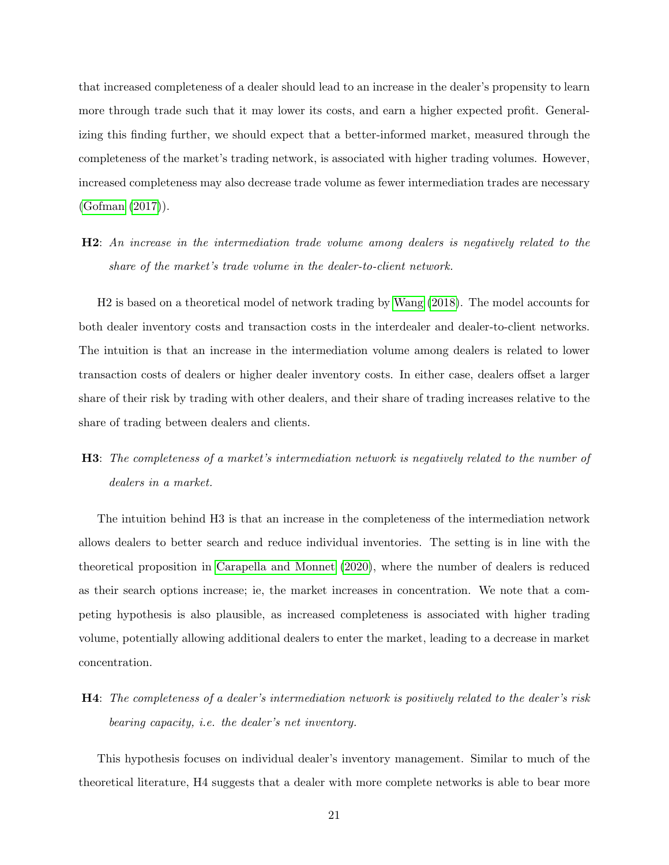that increased completeness of a dealer should lead to an increase in the dealer's propensity to learn more through trade such that it may lower its costs, and earn a higher expected profit. Generalizing this finding further, we should expect that a better-informed market, measured through the completeness of the market's trading network, is associated with higher trading volumes. However, increased completeness may also decrease trade volume as fewer intermediation trades are necessary [\(Gofman](#page-41-13) [\(2017\)](#page-41-13)).

H2: An increase in the intermediation trade volume among dealers is negatively related to the share of the market's trade volume in the dealer-to-client network.

H2 is based on a theoretical model of network trading by [Wang](#page-42-1) [\(2018\)](#page-42-1). The model accounts for both dealer inventory costs and transaction costs in the interdealer and dealer-to-client networks. The intuition is that an increase in the intermediation volume among dealers is related to lower transaction costs of dealers or higher dealer inventory costs. In either case, dealers offset a larger share of their risk by trading with other dealers, and their share of trading increases relative to the share of trading between dealers and clients.

## H3: The completeness of a market's intermediation network is negatively related to the number of dealers in a market.

The intuition behind H3 is that an increase in the completeness of the intermediation network allows dealers to better search and reduce individual inventories. The setting is in line with the theoretical proposition in [Carapella and Monnet](#page-40-4) [\(2020\)](#page-40-4), where the number of dealers is reduced as their search options increase; ie, the market increases in concentration. We note that a competing hypothesis is also plausible, as increased completeness is associated with higher trading volume, potentially allowing additional dealers to enter the market, leading to a decrease in market concentration.

H4: The completeness of a dealer's intermediation network is positively related to the dealer's risk bearing capacity, i.e. the dealer's net inventory.

This hypothesis focuses on individual dealer's inventory management. Similar to much of the theoretical literature, H4 suggests that a dealer with more complete networks is able to bear more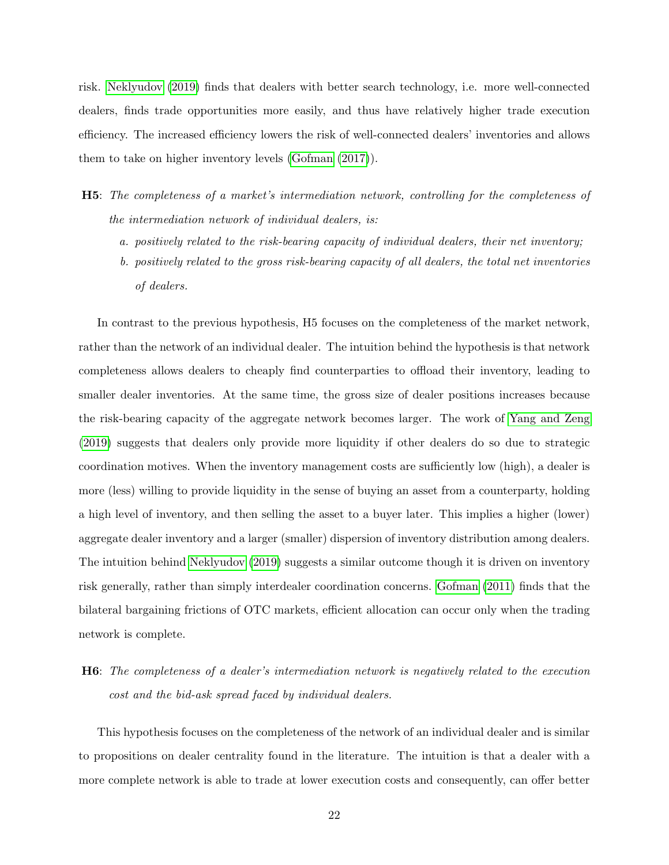risk. [Neklyudov](#page-41-2) [\(2019\)](#page-41-2) finds that dealers with better search technology, i.e. more well-connected dealers, finds trade opportunities more easily, and thus have relatively higher trade execution efficiency. The increased efficiency lowers the risk of well-connected dealers' inventories and allows them to take on higher inventory levels [\(Gofman](#page-41-13) [\(2017\)](#page-41-13)).

- H5: The completeness of a market's intermediation network, controlling for the completeness of the intermediation network of individual dealers, is:
	- a. positively related to the risk-bearing capacity of individual dealers, their net inventory;
	- b. positively related to the gross risk-bearing capacity of all dealers, the total net inventories of dealers.

In contrast to the previous hypothesis, H5 focuses on the completeness of the market network, rather than the network of an individual dealer. The intuition behind the hypothesis is that network completeness allows dealers to cheaply find counterparties to offload their inventory, leading to smaller dealer inventories. At the same time, the gross size of dealer positions increases because the risk-bearing capacity of the aggregate network becomes larger. The work of [Yang and Zeng](#page-42-2) [\(2019\)](#page-42-2) suggests that dealers only provide more liquidity if other dealers do so due to strategic coordination motives. When the inventory management costs are sufficiently low (high), a dealer is more (less) willing to provide liquidity in the sense of buying an asset from a counterparty, holding a high level of inventory, and then selling the asset to a buyer later. This implies a higher (lower) aggregate dealer inventory and a larger (smaller) dispersion of inventory distribution among dealers. The intuition behind [Neklyudov](#page-41-2) [\(2019\)](#page-41-2) suggests a similar outcome though it is driven on inventory risk generally, rather than simply interdealer coordination concerns. [Gofman](#page-41-1) [\(2011\)](#page-41-1) finds that the bilateral bargaining frictions of OTC markets, efficient allocation can occur only when the trading network is complete.

## H6: The completeness of a dealer's intermediation network is negatively related to the execution cost and the bid-ask spread faced by individual dealers.

This hypothesis focuses on the completeness of the network of an individual dealer and is similar to propositions on dealer centrality found in the literature. The intuition is that a dealer with a more complete network is able to trade at lower execution costs and consequently, can offer better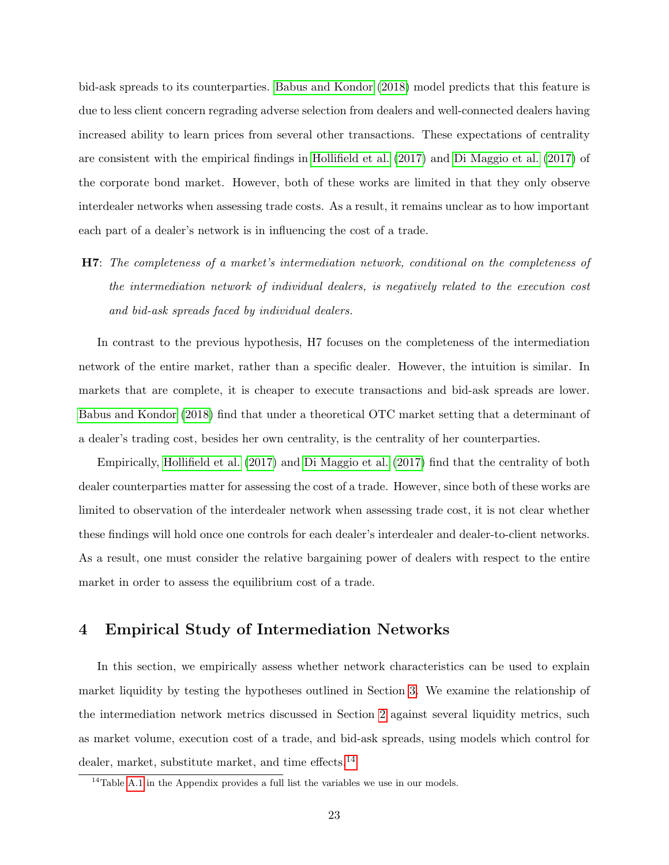bid-ask spreads to its counterparties. [Babus and Kondor](#page-40-1) [\(2018\)](#page-40-1) model predicts that this feature is due to less client concern regrading adverse selection from dealers and well-connected dealers having increased ability to learn prices from several other transactions. These expectations of centrality are consistent with the empirical findings in [Hollifield et al.](#page-41-5) [\(2017\)](#page-41-5) and [Di Maggio et al.](#page-40-2) [\(2017\)](#page-40-2) of the corporate bond market. However, both of these works are limited in that they only observe interdealer networks when assessing trade costs. As a result, it remains unclear as to how important each part of a dealer's network is in influencing the cost of a trade.

H7: The completeness of a market's intermediation network, conditional on the completeness of the intermediation network of individual dealers, is negatively related to the execution cost and bid-ask spreads faced by individual dealers.

In contrast to the previous hypothesis, H7 focuses on the completeness of the intermediation network of the entire market, rather than a specific dealer. However, the intuition is similar. In markets that are complete, it is cheaper to execute transactions and bid-ask spreads are lower. [Babus and Kondor](#page-40-1) [\(2018\)](#page-40-1) find that under a theoretical OTC market setting that a determinant of a dealer's trading cost, besides her own centrality, is the centrality of her counterparties.

Empirically, [Hollifield et al.](#page-41-5) [\(2017\)](#page-41-5) and [Di Maggio et al.](#page-40-2) [\(2017\)](#page-40-2) find that the centrality of both dealer counterparties matter for assessing the cost of a trade. However, since both of these works are limited to observation of the interdealer network when assessing trade cost, it is not clear whether these findings will hold once one controls for each dealer's interdealer and dealer-to-client networks. As a result, one must consider the relative bargaining power of dealers with respect to the entire market in order to assess the equilibrium cost of a trade.

## <span id="page-23-0"></span>4 Empirical Study of Intermediation Networks

In this section, we empirically assess whether network characteristics can be used to explain market liquidity by testing the hypotheses outlined in Section [3.](#page-20-0) We examine the relationship of the intermediation network metrics discussed in Section [2](#page-13-0) against several liquidity metrics, such as market volume, execution cost of a trade, and bid-ask spreads, using models which control for dealer, market, substitute market, and time effects.<sup>[14](#page-23-1)</sup>

<span id="page-23-1"></span><sup>&</sup>lt;sup>14</sup>Table [A.1](#page-43-0) in the Appendix provides a full list the variables we use in our models.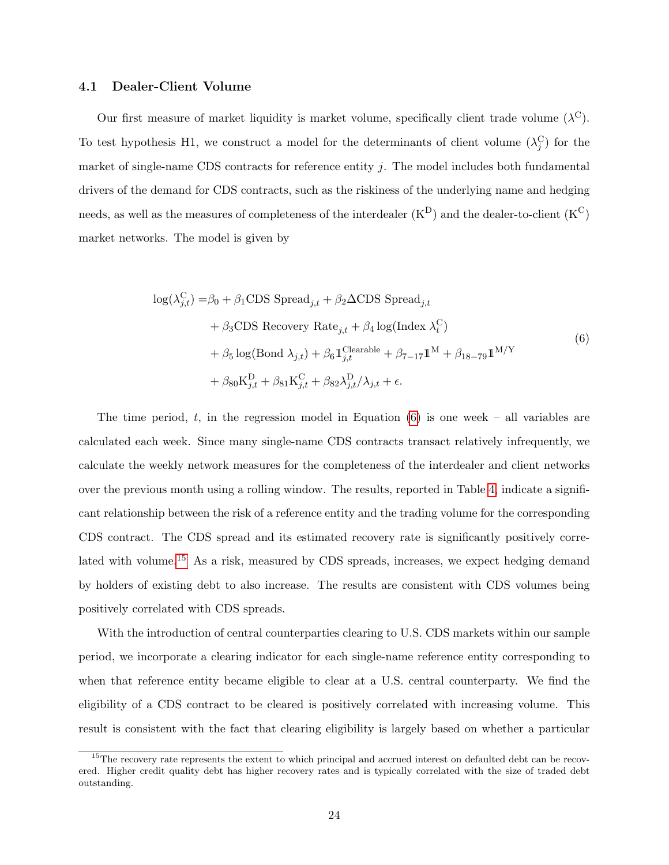### 4.1 Dealer-Client Volume

Our first measure of market liquidity is market volume, specifically client trade volume  $(\lambda^C)$ . To test hypothesis H1, we construct a model for the determinants of client volume  $(\lambda_j^{\rm C})$  for the market of single-name CDS contracts for reference entity  $j$ . The model includes both fundamental drivers of the demand for CDS contracts, such as the riskiness of the underlying name and hedging needs, as well as the measures of completeness of the interdealer  $(K^D)$  and the dealer-to-client  $(K^C)$ market networks. The model is given by

<span id="page-24-0"></span>
$$
\log(\lambda_{j,t}^{\mathcal{C}}) = \beta_0 + \beta_1 \text{CDS }\text{Speed}_{j,t} + \beta_2 \Delta \text{CDS }\text{Speed}_{j,t} + \beta_3 \text{CDS }\text{Recovery }\text{Rate}_{j,t} + \beta_4 \log(\text{Index }\lambda_t^{\mathcal{C}}) + \beta_5 \log(\text{Bond }\lambda_{j,t}) + \beta_6 \mathbb{1}_{j,t}^{\text{Clearable}} + \beta_{7-17} \mathbb{1}^{\text{M}} + \beta_{18-79} \mathbb{1}^{\text{M/Y}} + \beta_{80} \text{K}_{j,t}^{\text{D}} + \beta_{81} \text{K}_{j,t}^{\text{C}} + \beta_{82} \lambda_{j,t}^{\text{D}} / \lambda_{j,t} + \epsilon.
$$
\n(6)

The time period, t, in the regression model in Equation  $(6)$  is one week – all variables are calculated each week. Since many single-name CDS contracts transact relatively infrequently, we calculate the weekly network measures for the completeness of the interdealer and client networks over the previous month using a rolling window. The results, reported in Table [4,](#page-25-0) indicate a significant relationship between the risk of a reference entity and the trading volume for the corresponding CDS contract. The CDS spread and its estimated recovery rate is significantly positively corre-lated with volume.<sup>[15](#page-24-1)</sup> As a risk, measured by CDS spreads, increases, we expect hedging demand by holders of existing debt to also increase. The results are consistent with CDS volumes being positively correlated with CDS spreads.

With the introduction of central counterparties clearing to U.S. CDS markets within our sample period, we incorporate a clearing indicator for each single-name reference entity corresponding to when that reference entity became eligible to clear at a U.S. central counterparty. We find the eligibility of a CDS contract to be cleared is positively correlated with increasing volume. This result is consistent with the fact that clearing eligibility is largely based on whether a particular

<span id="page-24-1"></span><sup>&</sup>lt;sup>15</sup>The recovery rate represents the extent to which principal and accrued interest on defaulted debt can be recovered. Higher credit quality debt has higher recovery rates and is typically correlated with the size of traded debt outstanding.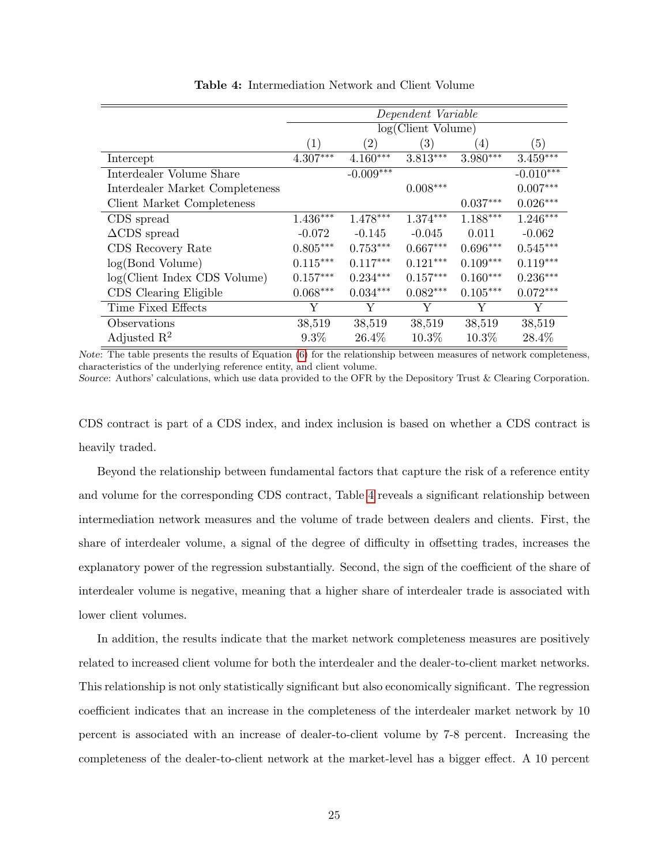<span id="page-25-0"></span>

|                                 |                   |                   | Dependent Variable |                  |             |
|---------------------------------|-------------------|-------------------|--------------------|------------------|-------------|
|                                 |                   |                   | log(Client Volume) |                  |             |
|                                 | $\left( 1\right)$ | $\left( 2\right)$ | (3)                | $\left(4\right)$ | (5)         |
| Intercept                       | $4.307***$        | $4.160***$        | $3.813***$         | $3.980***$       | $3.459***$  |
| Interdealer Volume Share        |                   | $-0.009***$       |                    |                  | $-0.010***$ |
| Interdealer Market Completeness |                   |                   | $0.008***$         |                  | $0.007***$  |
| Client Market Completeness      |                   |                   |                    | $0.037***$       | $0.026***$  |
| CDS spread                      | $1.436***$        | $1.478***$        | $1.374***$         | $1.188***$       | $1.246***$  |
| $\triangle$ CDS spread          | $-0.072$          | $-0.145$          | $-0.045$           | 0.011            | $-0.062$    |
| CDS Recovery Rate               | $0.805***$        | $0.753***$        | $0.667***$         | $0.696***$       | $0.545***$  |
| log(Bond Volume)                | $0.115***$        | $0.117***$        | $0.121***$         | $0.109***$       | $0.119***$  |
| log(Client Index CDS Volume)    | $0.157***$        | $0.234***$        | $0.157***$         | $0.160***$       | $0.236***$  |
| CDS Clearing Eligible           | $0.068***$        | $0.034***$        | $0.082***$         | $0.105***$       | $0.072***$  |
| Time Fixed Effects              | Y                 | Y                 | Y                  | Y                | Υ           |
| Observations                    | 38,519            | 38,519            | 38,519             | 38,519           | 38,519      |
| Adjusted $\mathbb{R}^2$         | $9.3\%$           | 26.4\%            | 10.3%              | 10.3%            | 28.4%       |

Table 4: Intermediation Network and Client Volume

Note: The table presents the results of Equation [\(6\)](#page-24-0) for the relationship between measures of network completeness, characteristics of the underlying reference entity, and client volume.

Source: Authors' calculations, which use data provided to the OFR by the Depository Trust & Clearing Corporation.

CDS contract is part of a CDS index, and index inclusion is based on whether a CDS contract is heavily traded.

Beyond the relationship between fundamental factors that capture the risk of a reference entity and volume for the corresponding CDS contract, Table [4](#page-25-0) reveals a significant relationship between intermediation network measures and the volume of trade between dealers and clients. First, the share of interdealer volume, a signal of the degree of difficulty in offsetting trades, increases the explanatory power of the regression substantially. Second, the sign of the coefficient of the share of interdealer volume is negative, meaning that a higher share of interdealer trade is associated with lower client volumes.

In addition, the results indicate that the market network completeness measures are positively related to increased client volume for both the interdealer and the dealer-to-client market networks. This relationship is not only statistically significant but also economically significant. The regression coefficient indicates that an increase in the completeness of the interdealer market network by 10 percent is associated with an increase of dealer-to-client volume by 7-8 percent. Increasing the completeness of the dealer-to-client network at the market-level has a bigger effect. A 10 percent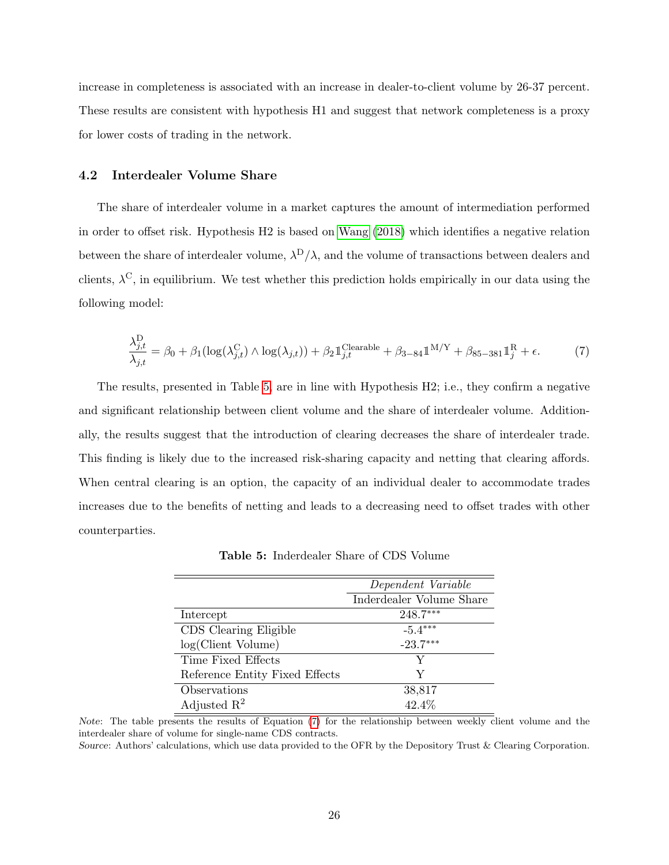increase in completeness is associated with an increase in dealer-to-client volume by 26-37 percent. These results are consistent with hypothesis H1 and suggest that network completeness is a proxy for lower costs of trading in the network.

#### 4.2 Interdealer Volume Share

The share of interdealer volume in a market captures the amount of intermediation performed in order to offset risk. Hypothesis H2 is based on [Wang](#page-42-1) [\(2018\)](#page-42-1) which identifies a negative relation between the share of interdealer volume,  $\lambda^{D}/\lambda$ , and the volume of transactions between dealers and clients,  $\lambda^{\text{C}}$ , in equilibrium. We test whether this prediction holds empirically in our data using the following model:

<span id="page-26-1"></span>
$$
\frac{\lambda_{j,t}^{\mathcal{D}}}{\lambda_{j,t}} = \beta_0 + \beta_1 (\log(\lambda_{j,t}^{\mathcal{C}}) \wedge \log(\lambda_{j,t})) + \beta_2 \mathbb{1}_{j,t}^{\text{Clearable}} + \beta_{3-84} \mathbb{1}^{\mathcal{M}/\mathcal{Y}} + \beta_{85-381} \mathbb{1}_j^{\mathcal{R}} + \epsilon.
$$
 (7)

The results, presented in Table [5,](#page-26-0) are in line with Hypothesis H2; i.e., they confirm a negative and significant relationship between client volume and the share of interdealer volume. Additionally, the results suggest that the introduction of clearing decreases the share of interdealer trade. This finding is likely due to the increased risk-sharing capacity and netting that clearing affords. When central clearing is an option, the capacity of an individual dealer to accommodate trades increases due to the benefits of netting and leads to a decreasing need to offset trades with other counterparties.

<span id="page-26-0"></span>

|                                | Dependent Variable       |
|--------------------------------|--------------------------|
|                                | Inderdealer Volume Share |
| Intercept                      | 248.7***                 |
| CDS Clearing Eligible          | $-5.4***$                |
| log(Client Volume)             | $-23.7***$               |
| Time Fixed Effects             | V                        |
| Reference Entity Fixed Effects | Y                        |
| Observations                   | 38,817                   |
| Adjusted $\mathbb{R}^2$        | 42.4%                    |

Table 5: Inderdealer Share of CDS Volume

Note: The table presents the results of Equation [\(7\)](#page-26-1) for the relationship between weekly client volume and the interdealer share of volume for single-name CDS contracts.

Source: Authors' calculations, which use data provided to the OFR by the Depository Trust & Clearing Corporation.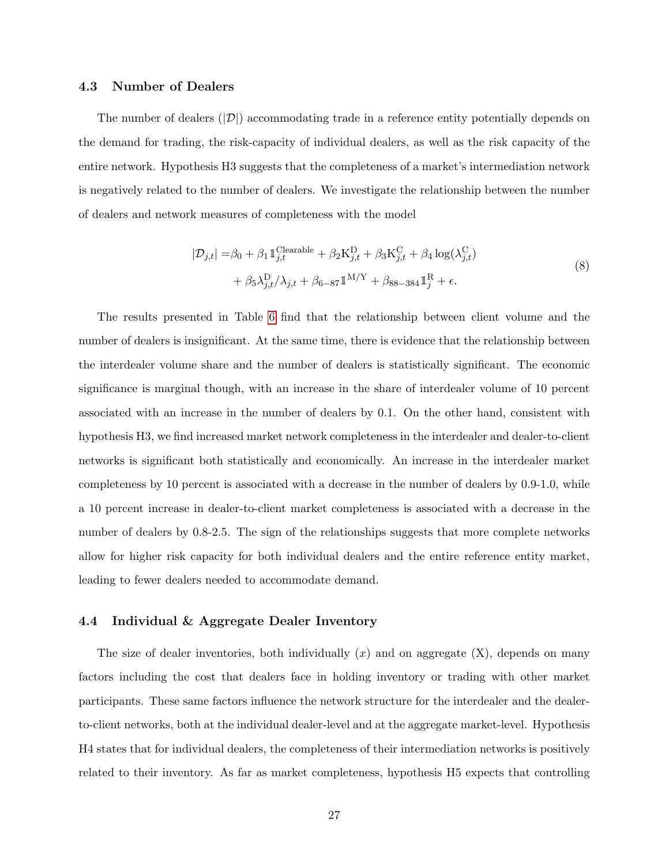### 4.3 Number of Dealers

The number of dealers  $(|\mathcal{D}|)$  accommodating trade in a reference entity potentially depends on the demand for trading, the risk-capacity of individual dealers, as well as the risk capacity of the entire network. Hypothesis H3 suggests that the completeness of a market's intermediation network is negatively related to the number of dealers. We investigate the relationship between the number of dealers and network measures of completeness with the model

$$
|\mathcal{D}_{j,t}| = \beta_0 + \beta_1 \mathbb{1}_{j,t}^{\text{Clearly}} + \beta_2 \mathbf{K}_{j,t}^{\text{D}} + \beta_3 \mathbf{K}_{j,t}^{\text{C}} + \beta_4 \log(\lambda_{j,t}^{\text{C}})
$$
  
+  $\beta_5 \lambda_{j,t}^{\text{D}} / \lambda_{j,t} + \beta_{6-87} \mathbb{1}^{\text{M}/\text{Y}} + \beta_{88-384} \mathbb{1}_j^{\text{R}} + \epsilon.$  (8)

<span id="page-27-0"></span>The results presented in Table [6](#page-28-0) find that the relationship between client volume and the number of dealers is insignificant. At the same time, there is evidence that the relationship between the interdealer volume share and the number of dealers is statistically significant. The economic significance is marginal though, with an increase in the share of interdealer volume of 10 percent associated with an increase in the number of dealers by 0.1. On the other hand, consistent with hypothesis H3, we find increased market network completeness in the interdealer and dealer-to-client networks is significant both statistically and economically. An increase in the interdealer market completeness by 10 percent is associated with a decrease in the number of dealers by 0.9-1.0, while a 10 percent increase in dealer-to-client market completeness is associated with a decrease in the number of dealers by 0.8-2.5. The sign of the relationships suggests that more complete networks allow for higher risk capacity for both individual dealers and the entire reference entity market, leading to fewer dealers needed to accommodate demand.

### 4.4 Individual & Aggregate Dealer Inventory

The size of dealer inventories, both individually  $(x)$  and on aggregate  $(X)$ , depends on many factors including the cost that dealers face in holding inventory or trading with other market participants. These same factors influence the network structure for the interdealer and the dealerto-client networks, both at the individual dealer-level and at the aggregate market-level. Hypothesis H4 states that for individual dealers, the completeness of their intermediation networks is positively related to their inventory. As far as market completeness, hypothesis H5 expects that controlling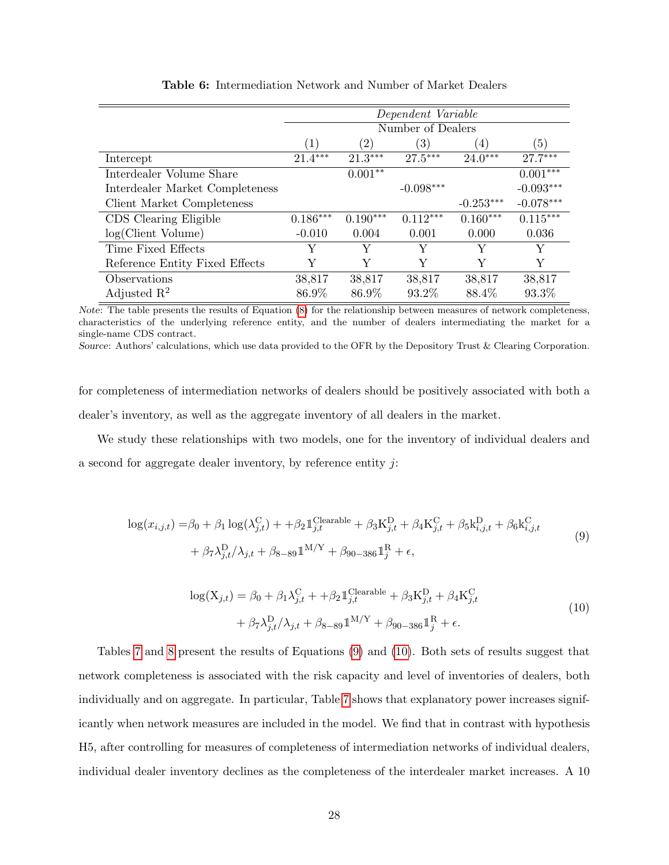<span id="page-28-0"></span>

|                                 |                  |                   | Dependent Variable |                  |             |
|---------------------------------|------------------|-------------------|--------------------|------------------|-------------|
|                                 |                  |                   | Number of Dealers  |                  |             |
|                                 | $\left(1\right)$ | $\left( 2\right)$ | $\left( 3\right)$  | $\left(4\right)$ | (5)         |
| Intercept                       | $21.4***$        | $21.3***$         | $27.5***$          | $24.0***$        | $27.7***$   |
| Interdealer Volume Share        |                  | $0.001**$         |                    |                  | $0.001***$  |
| Interdealer Market Completeness |                  |                   | $-0.098***$        |                  | $-0.093***$ |
| Client Market Completeness      |                  |                   |                    | $-0.253***$      | $-0.078***$ |
| CDS Clearing Eligible           | $0.186***$       | $0.190***$        | $0.112***$         | $0.160***$       | $0.115***$  |
| log(Client Volume)              | $-0.010$         | 0.004             | 0.001              | 0.000            | 0.036       |
| Time Fixed Effects              | Y                | Y                 | Y                  | Y                | Y           |
| Reference Entity Fixed Effects  | Y                | Y                 | Y                  | Y                | Y           |
| Observations                    | 38,817           | 38,817            | 38,817             | 38,817           | 38,817      |
| Adjusted $\mathbb{R}^2$         | 86.9%            | 86.9%             | 93.2%              | 88.4%            | 93.3%       |

Table 6: Intermediation Network and Number of Market Dealers

Note: The table presents the results of Equation [\(8\)](#page-27-0) for the relationship between measures of network completeness, characteristics of the underlying reference entity, and the number of dealers intermediating the market for a single-name CDS contract.

Source: Authors' calculations, which use data provided to the OFR by the Depository Trust & Clearing Corporation.

for completeness of intermediation networks of dealers should be positively associated with both a dealer's inventory, as well as the aggregate inventory of all dealers in the market.

We study these relationships with two models, one for the inventory of individual dealers and a second for aggregate dealer inventory, by reference entity  $j$ :

<span id="page-28-1"></span>
$$
\log(x_{i,j,t}) = \beta_0 + \beta_1 \log(\lambda_{j,t}^{\text{C}}) + \beta_2 \mathbb{1}_{j,t}^{\text{Clearly}} + \beta_3 \mathbf{K}_{j,t}^{\text{D}} + \beta_4 \mathbf{K}_{j,t}^{\text{C}} + \beta_5 \mathbf{k}_{i,j,t}^{\text{D}} + \beta_6 \mathbf{k}_{i,j,t}^{\text{C}} + \beta_7 \lambda_{j,t}^{\text{D}} / \lambda_{j,t} + \beta_{8-89} \mathbb{1}^{\text{M/Y}} + \beta_{90-386} \mathbb{1}_j^{\text{R}} + \epsilon,
$$
\n(9)

$$
\log(\mathbf{X}_{j,t}) = \beta_0 + \beta_1 \lambda_{j,t}^{\mathcal{C}} + \beta_2 \mathbb{1}_{j,t}^{\text{Clearable}} + \beta_3 \mathbf{K}_{j,t}^{\mathcal{D}} + \beta_4 \mathbf{K}_{j,t}^{\mathcal{C}} + \beta_7 \lambda_{j,t}^{\mathcal{D}} / \lambda_{j,t} + \beta_8 \text{--} \text{sg} \mathbb{1}^{\mathcal{M}/\mathcal{Y}} + \beta_{90-386} \mathbb{1}_j^{\mathcal{R}} + \epsilon.
$$
\n
$$
(10)
$$

<span id="page-28-2"></span>Tables [7](#page-30-0) and [8](#page-30-1) present the results of Equations [\(9\)](#page-28-1) and [\(10\)](#page-28-2). Both sets of results suggest that network completeness is associated with the risk capacity and level of inventories of dealers, both individually and on aggregate. In particular, Table [7](#page-30-0) shows that explanatory power increases significantly when network measures are included in the model. We find that in contrast with hypothesis H5, after controlling for measures of completeness of intermediation networks of individual dealers, individual dealer inventory declines as the completeness of the interdealer market increases. A 10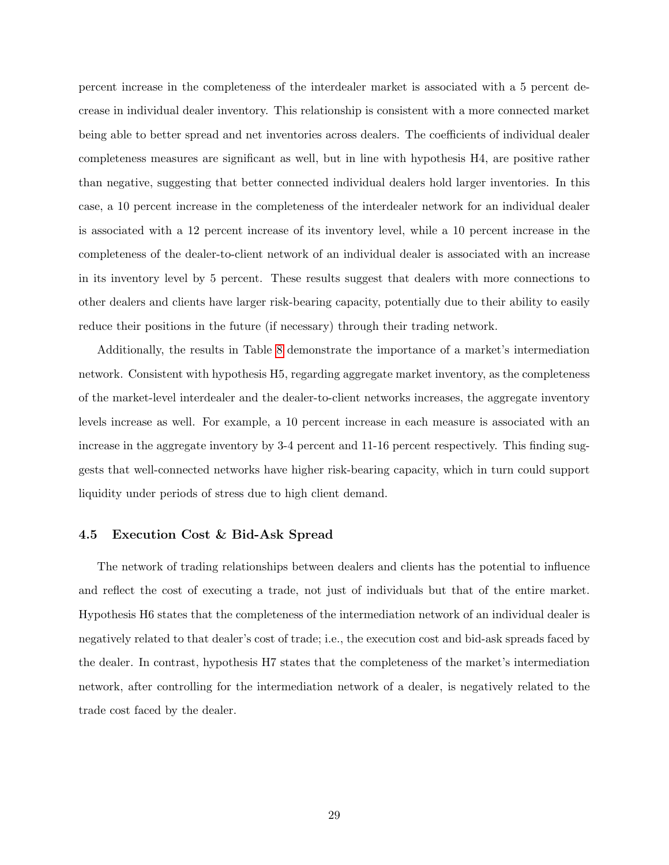percent increase in the completeness of the interdealer market is associated with a 5 percent decrease in individual dealer inventory. This relationship is consistent with a more connected market being able to better spread and net inventories across dealers. The coefficients of individual dealer completeness measures are significant as well, but in line with hypothesis H4, are positive rather than negative, suggesting that better connected individual dealers hold larger inventories. In this case, a 10 percent increase in the completeness of the interdealer network for an individual dealer is associated with a 12 percent increase of its inventory level, while a 10 percent increase in the completeness of the dealer-to-client network of an individual dealer is associated with an increase in its inventory level by 5 percent. These results suggest that dealers with more connections to other dealers and clients have larger risk-bearing capacity, potentially due to their ability to easily reduce their positions in the future (if necessary) through their trading network.

Additionally, the results in Table [8](#page-30-1) demonstrate the importance of a market's intermediation network. Consistent with hypothesis H5, regarding aggregate market inventory, as the completeness of the market-level interdealer and the dealer-to-client networks increases, the aggregate inventory levels increase as well. For example, a 10 percent increase in each measure is associated with an increase in the aggregate inventory by 3-4 percent and 11-16 percent respectively. This finding suggests that well-connected networks have higher risk-bearing capacity, which in turn could support liquidity under periods of stress due to high client demand.

### 4.5 Execution Cost & Bid-Ask Spread

The network of trading relationships between dealers and clients has the potential to influence and reflect the cost of executing a trade, not just of individuals but that of the entire market. Hypothesis H6 states that the completeness of the intermediation network of an individual dealer is negatively related to that dealer's cost of trade; i.e., the execution cost and bid-ask spreads faced by the dealer. In contrast, hypothesis H7 states that the completeness of the market's intermediation network, after controlling for the intermediation network of a dealer, is negatively related to the trade cost faced by the dealer.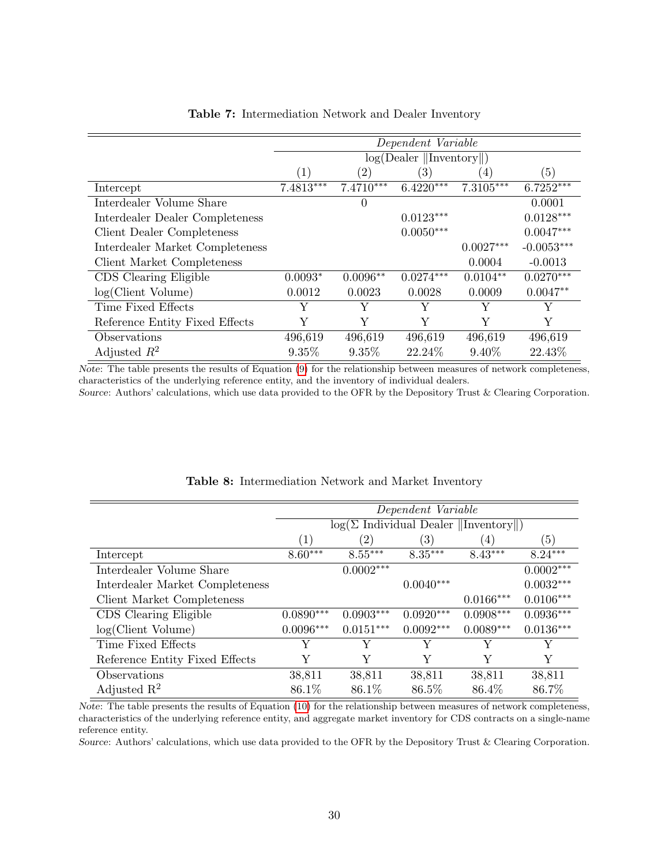<span id="page-30-0"></span>

|                                   |                  |                   | Dependent Variable                          |                  |              |
|-----------------------------------|------------------|-------------------|---------------------------------------------|------------------|--------------|
|                                   |                  |                   | $log(Dealer \parallel Inventory \parallel)$ |                  |              |
|                                   | $\left(1\right)$ | $\left( 2\right)$ | (3)                                         | $\left(4\right)$ | (5)          |
| Intercept                         | 7.4813***        | $7.4710***$       | $6.4220***$                                 | $7.3105***$      | $6.7252***$  |
| Interdealer Volume Share          |                  | $\theta$          |                                             |                  | 0.0001       |
| Interdealer Dealer Completeness   |                  |                   | $0.0123***$                                 |                  | $0.0128***$  |
| <b>Client Dealer Completeness</b> |                  |                   | $0.0050***$                                 |                  | $0.0047***$  |
| Interdealer Market Completeness   |                  |                   |                                             | $0.0027***$      | $-0.0053***$ |
| Client Market Completeness        |                  |                   |                                             | 0.0004           | $-0.0013$    |
| CDS Clearing Eligible             | $0.0093*$        | $0.0096**$        | $0.0274***$                                 | $0.0104**$       | $0.0270***$  |
| log(Client Volume)                | 0.0012           | 0.0023            | 0.0028                                      | 0.0009           | $0.0047**$   |
| Time Fixed Effects                | Y                | Υ                 | Y                                           | Υ                | Υ            |
| Reference Entity Fixed Effects    | Y                | Y                 | Y                                           | Y                | Y            |
| Observations                      | 496,619          | 496,619           | 496,619                                     | 496,619          | 496,619      |
| Adjusted $R^2$                    | 9.35%            | $9.35\%$          | 22.24%                                      | $9.40\%$         | 22.43%       |

### Table 7: Intermediation Network and Dealer Inventory

Note: The table presents the results of Equation [\(9\)](#page-28-1) for the relationship between measures of network completeness, characteristics of the underlying reference entity, and the inventory of individual dealers.

Source: Authors' calculations, which use data provided to the OFR by the Depository Trust & Clearing Corporation.

<span id="page-30-1"></span>

|                                 |             |                   | Dependent Variable |                                                               |             |
|---------------------------------|-------------|-------------------|--------------------|---------------------------------------------------------------|-------------|
|                                 |             |                   |                    | $log(\Sigma \text{ Individual Dealer }   \text{Inventory}  )$ |             |
|                                 | (1)         | $\left( 2\right)$ | $\left( 3\right)$  | $\left(4\right)$                                              | (5)         |
| Intercept                       | $8.60***$   | $8.55***$         | $8.35***$          | $8.43***$                                                     | $8.24***$   |
| Interdealer Volume Share        |             | $0.0002***$       |                    |                                                               | $0.0002***$ |
| Interdealer Market Completeness |             |                   | $0.0040***$        |                                                               | $0.0032***$ |
| Client Market Completeness      |             |                   |                    | $0.0166***$                                                   | $0.0106***$ |
| CDS Clearing Eligible           | $0.0890***$ | $0.0903***$       | $0.0920***$        | $0.0908***$                                                   | $0.0936***$ |
| log(Client Volume)              | $0.0096***$ | $0.0151***$       | $0.0092***$        | $0.0089***$                                                   | $0.0136***$ |
| Time Fixed Effects              | Y           | Y                 | Y                  | Y                                                             | Y           |
| Reference Entity Fixed Effects  | Y           | Y                 | Y                  | Y                                                             | Y           |
| Observations                    | 38,811      | 38,811            | 38,811             | 38,811                                                        | 38,811      |
| Adjusted $R^2$                  | 86.1\%      | 86.1%             | 86.5%              | 86.4%                                                         | 86.7%       |

### Table 8: Intermediation Network and Market Inventory

Note: The table presents the results of Equation [\(10\)](#page-28-2) for the relationship between measures of network completeness, characteristics of the underlying reference entity, and aggregate market inventory for CDS contracts on a single-name reference entity.

Source: Authors' calculations, which use data provided to the OFR by the Depository Trust & Clearing Corporation.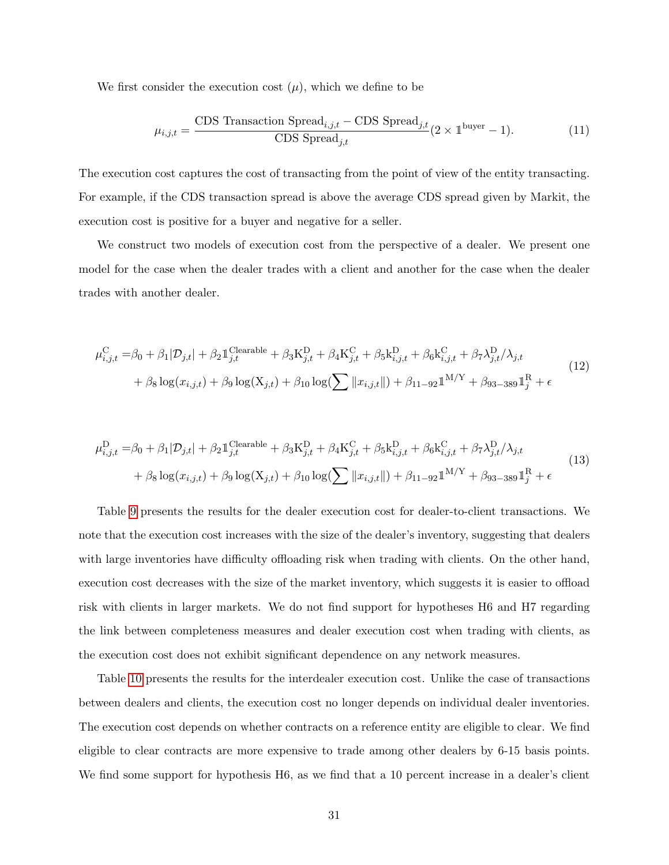We first consider the execution cost  $(\mu)$ , which we define to be

$$
\mu_{i,j,t} = \frac{\text{CDS Transaction Spread}_{i,j,t} - \text{CDS Spread}_{j,t}}{\text{CDS Spread}_{j,t}} (2 \times 1^{\text{buyer}} - 1). \tag{11}
$$

The execution cost captures the cost of transacting from the point of view of the entity transacting. For example, if the CDS transaction spread is above the average CDS spread given by Markit, the execution cost is positive for a buyer and negative for a seller.

We construct two models of execution cost from the perspective of a dealer. We present one model for the case when the dealer trades with a client and another for the case when the dealer trades with another dealer.

<span id="page-31-0"></span>
$$
\mu_{i,j,t}^{\text{C}} = \beta_0 + \beta_1 |\mathcal{D}_{j,t}| + \beta_2 \mathbb{1}_{j,t}^{\text{Clearable}} + \beta_3 \mathbf{K}_{j,t}^{\text{D}} + \beta_4 \mathbf{K}_{j,t}^{\text{C}} + \beta_5 \mathbf{k}_{i,j,t}^{\text{D}} + \beta_6 \mathbf{k}_{i,j,t}^{\text{C}} + \beta_7 \lambda_{j,t}^{\text{D}} / \lambda_{j,t} + \beta_8 \log(x_{i,j,t}) + \beta_9 \log(\mathbf{X}_{j,t}) + \beta_{10} \log(\sum ||x_{i,j,t}||) + \beta_{11-92} \mathbb{1}^{M/Y} + \beta_{93-389} \mathbb{1}_j^{\text{R}} + \epsilon
$$
\n(12)

<span id="page-31-1"></span>
$$
\mu_{i,j,t}^{\mathcal{D}} = \beta_0 + \beta_1 |\mathcal{D}_{j,t}| + \beta_2 \mathbb{1}_{j,t}^{\text{Clearable}} + \beta_3 \mathcal{K}_{j,t}^{\mathcal{D}} + \beta_4 \mathcal{K}_{j,t}^{\mathcal{C}} + \beta_5 \mathcal{k}_{i,j,t}^{\mathcal{D}} + \beta_6 \mathcal{k}_{i,j,t}^{\mathcal{C}} + \beta_7 \lambda_{j,t}^{\mathcal{D}} / \lambda_{j,t} + \beta_8 \log(x_{i,j,t}) + \beta_9 \log(\mathbf{X}_{j,t}) + \beta_{10} \log(\sum ||x_{i,j,t}||) + \beta_{11-92} \mathbb{1}^{M/Y} + \beta_{93-389} \mathbb{1}_j^{\mathcal{R}} + \epsilon
$$
\n(13)

Table [9](#page-32-0) presents the results for the dealer execution cost for dealer-to-client transactions. We note that the execution cost increases with the size of the dealer's inventory, suggesting that dealers with large inventories have difficulty offloading risk when trading with clients. On the other hand, execution cost decreases with the size of the market inventory, which suggests it is easier to offload risk with clients in larger markets. We do not find support for hypotheses H6 and H7 regarding the link between completeness measures and dealer execution cost when trading with clients, as the execution cost does not exhibit significant dependence on any network measures.

Table [10](#page-34-0) presents the results for the interdealer execution cost. Unlike the case of transactions between dealers and clients, the execution cost no longer depends on individual dealer inventories. The execution cost depends on whether contracts on a reference entity are eligible to clear. We find eligible to clear contracts are more expensive to trade among other dealers by 6-15 basis points. We find some support for hypothesis H6, as we find that a 10 percent increase in a dealer's client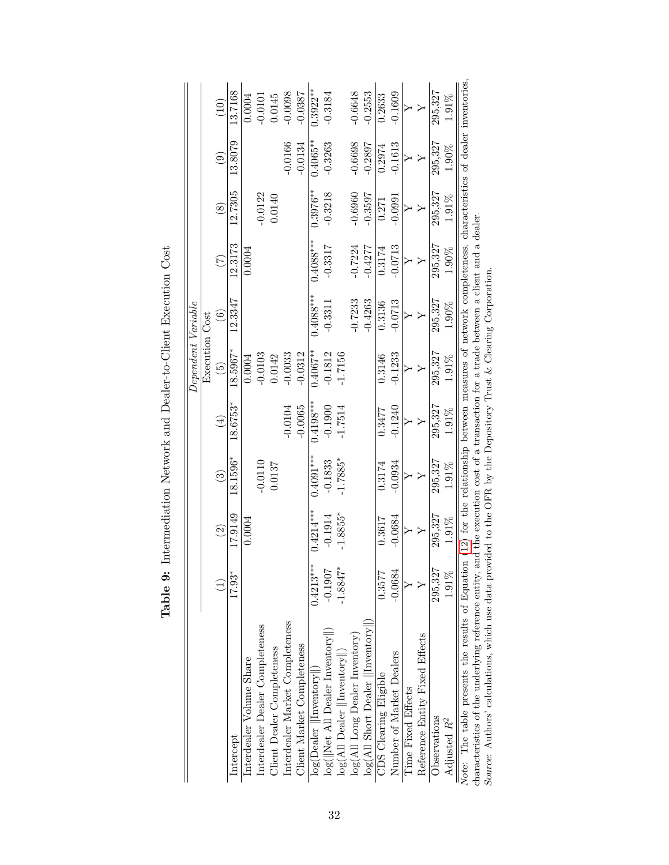<span id="page-32-0"></span>

|                                                                                                                                                                                                                                                                                                       |             |             |                        |               | Dependent Variable |                   |             |               |             |             |
|-------------------------------------------------------------------------------------------------------------------------------------------------------------------------------------------------------------------------------------------------------------------------------------------------------|-------------|-------------|------------------------|---------------|--------------------|-------------------|-------------|---------------|-------------|-------------|
|                                                                                                                                                                                                                                                                                                       |             |             |                        |               | Execution Cost     |                   |             |               |             |             |
|                                                                                                                                                                                                                                                                                                       |             | $\odot$     | $\widehat{\mathbb{G}}$ | $\widehat{E}$ | $\widetilde{5}$    | $\widehat{\circ}$ | (7)         | $\circledast$ | $\odot$     | (10)        |
| Intercept                                                                                                                                                                                                                                                                                             | 17.93*      | 17.9149     | 18.1596*               | 18.6753*      | 18.5967*           | 12.3347           | 12.3173     | 12.7305       | 13.8079     | 13.7168     |
| Interdealer Volume Share                                                                                                                                                                                                                                                                              |             | 0.0004      |                        |               | 0.0004             |                   | 0.0004      |               |             | 0.0004      |
| Interdealer Dealer Completeness                                                                                                                                                                                                                                                                       |             |             | $-0.0110$              |               | $-0.0103$          |                   |             | $-0.0122$     |             | $-0.0101$   |
| Client Dealer Completeness                                                                                                                                                                                                                                                                            |             |             | 0.0137                 |               | 0.0142             |                   |             | 0.0140        |             | 0.0145      |
| Interdealer Market Completeness                                                                                                                                                                                                                                                                       |             |             |                        | $-0.0104$     | $-0.0033$          |                   |             |               | $-0.0166$   | $-0.0098$   |
| Client Market Completeness                                                                                                                                                                                                                                                                            |             |             |                        | $-0.0065$     | $-0.0312$          |                   |             |               | $-0.0134$   | $-0.0387$   |
| $log(Dealer$   Inventory  )                                                                                                                                                                                                                                                                           | $0.4213***$ | $0.4214***$ | $0.4091***$            | $0.4198***$   | $0.4067***$        | $0.4088***$       | $0.4088***$ | $0.3976^{**}$ | $0.4065***$ | $0.3922***$ |
| log(  Net All Dealer Inventory  )                                                                                                                                                                                                                                                                     | $-0.1907$   | $-0.1914$   | $-0.1833$              | $-0.1900$     | $-0.1812$          | $-0.3311$         | $-0.3317$   | $-0.3218$     | $-0.3263$   | $-0.3184$   |
| $log(AII$ Dealer $  $ Inventory $  $ )                                                                                                                                                                                                                                                                | $-1.8847*$  | $-1.8855*$  | $-1.7885*$             | $-1.7514$     | $-1.7156$          |                   |             |               |             |             |
| log(All Long Dealer Inventory)                                                                                                                                                                                                                                                                        |             |             |                        |               |                    | $-0.7233$         | $-0.7224$   | $-0.6960$     | $-0.6698$   | $-0.6648$   |
| $log(AII \text{ Short Dealer }   \text{Inventory}  )$                                                                                                                                                                                                                                                 |             |             |                        |               |                    | $-0.4263$         | $-0.4277$   | $-0.3597$     | $-0.2897$   | $-0.2553$   |
| CDS Clearing Eligible                                                                                                                                                                                                                                                                                 | 0.3577      | 0.3617      | 0.3174                 | 0.3477        | 0.3146             | 0.3136            | 0.3174      | 0.271         | 0.2974      | 0.2633      |
| Number of Market Dealers                                                                                                                                                                                                                                                                              | $-0.0684$   | $-0.0684$   | $-0.0934$              | $-0.1240$     | $-0.1233$          | $-0.0713$         | $-0.0713$   | $-0.0991$     | $-0.1613$   | $-0.1609$   |
| Time Fixed Effects                                                                                                                                                                                                                                                                                    |             |             |                        |               |                    |                   |             |               |             |             |
| Reference Entity Fixed Effects                                                                                                                                                                                                                                                                        |             |             |                        |               |                    |                   |             |               |             |             |
| Observations                                                                                                                                                                                                                                                                                          | 295,327     | 295,327     | 295,327                | 295,327       | 295,327            | 295,327           | 295,327     | 295,327       | 295,327     | 295,327     |
| Adjusted $R^2$                                                                                                                                                                                                                                                                                        | $1.91\%$    | 1.91%       | $1.91\%$               | $1.91\%$      | 1.91%              | $1.90\%$          | $1.90\%$    | 1.91%         | 1.90%       | 1.91%       |
| Note: The table presents the results of Equation (12) for the relationship between measures of network completeness, characteristics of dealer inventories.<br>characteristics of the underlying reference entity, and the execution cost of a transaction for a trade between a client and a dealer. |             |             |                        |               |                    |                   |             |               |             |             |
| Source: Authors' calculations, which use data provided to the OFR by the Depository Trust & Clearing Corporation                                                                                                                                                                                      |             |             |                        |               |                    |                   |             |               |             |             |

Table 9: Intermediation Network and Dealer-to-Client Execution Cost Table 9: Intermediation Network and Dealer-to-Client Execution Cost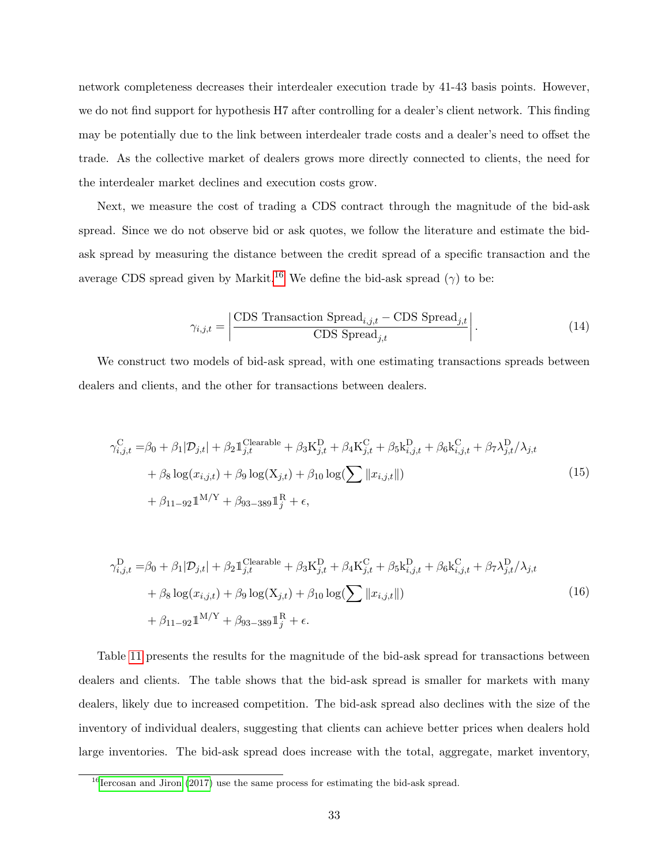network completeness decreases their interdealer execution trade by 41-43 basis points. However, we do not find support for hypothesis H7 after controlling for a dealer's client network. This finding may be potentially due to the link between interdealer trade costs and a dealer's need to offset the trade. As the collective market of dealers grows more directly connected to clients, the need for the interdealer market declines and execution costs grow.

Next, we measure the cost of trading a CDS contract through the magnitude of the bid-ask spread. Since we do not observe bid or ask quotes, we follow the literature and estimate the bidask spread by measuring the distance between the credit spread of a specific transaction and the average CDS spread given by Markit.<sup>[16](#page-33-0)</sup> We define the bid-ask spread ( $\gamma$ ) to be:

$$
\gamma_{i,j,t} = \left| \frac{\text{CDS Transaction Spread}_{i,j,t} - \text{CDS Spread}_{j,t}}{\text{CDS Spread}_{j,t}} \right|.
$$
\n(14)

We construct two models of bid-ask spread, with one estimating transactions spreads between dealers and clients, and the other for transactions between dealers.

<span id="page-33-1"></span>
$$
\gamma_{i,j,t}^{\text{C}} = \beta_0 + \beta_1 |\mathcal{D}_{j,t}| + \beta_2 \mathbb{1}_{j,t}^{\text{Clearable}} + \beta_3 \mathbf{K}_{j,t}^{\text{D}} + \beta_4 \mathbf{K}_{j,t}^{\text{C}} + \beta_5 \mathbf{k}_{i,j,t}^{\text{D}} + \beta_6 \mathbf{k}_{i,j,t}^{\text{C}} + \beta_7 \lambda_{j,t}^{\text{D}} / \lambda_{j,t} + \beta_8 \log(x_{i,j,t}) + \beta_9 \log(\mathbf{X}_{j,t}) + \beta_{10} \log(\sum ||x_{i,j,t}||) + \beta_{11-92} \mathbb{1}^{\text{M}/\text{Y}} + \beta_{93-389} \mathbb{1}_j^{\text{R}} + \epsilon,
$$
\n(15)

<span id="page-33-2"></span>
$$
\gamma_{i,j,t}^{\mathcal{D}} = \beta_0 + \beta_1 |\mathcal{D}_{j,t}| + \beta_2 \mathbb{1}_{j,t}^{\text{Clearable}} + \beta_3 \mathbf{K}_{j,t}^{\mathcal{D}} + \beta_4 \mathbf{K}_{j,t}^{\mathcal{C}} + \beta_5 \mathbf{k}_{i,j,t}^{\mathcal{D}} + \beta_6 \mathbf{k}_{i,j,t}^{\mathcal{C}} + \beta_7 \lambda_{j,t}^{\mathcal{D}} / \lambda_{j,t} + \beta_8 \log(x_{i,j,t}) + \beta_9 \log(\mathbf{X}_{j,t}) + \beta_{10} \log(\sum ||x_{i,j,t}||) + \beta_{11-92} \mathbb{1}^{\mathcal{M}/\mathcal{Y}} + \beta_{93-389} \mathbb{1}_j^{\mathcal{R}} + \epsilon.
$$
\n(16)

Table [11](#page-36-0) presents the results for the magnitude of the bid-ask spread for transactions between dealers and clients. The table shows that the bid-ask spread is smaller for markets with many dealers, likely due to increased competition. The bid-ask spread also declines with the size of the inventory of individual dealers, suggesting that clients can achieve better prices when dealers hold large inventories. The bid-ask spread does increase with the total, aggregate, market inventory,

<span id="page-33-0"></span> $16$ [Iercosan and Jiron](#page-41-11) [\(2017\)](#page-41-11) use the same process for estimating the bid-ask spread.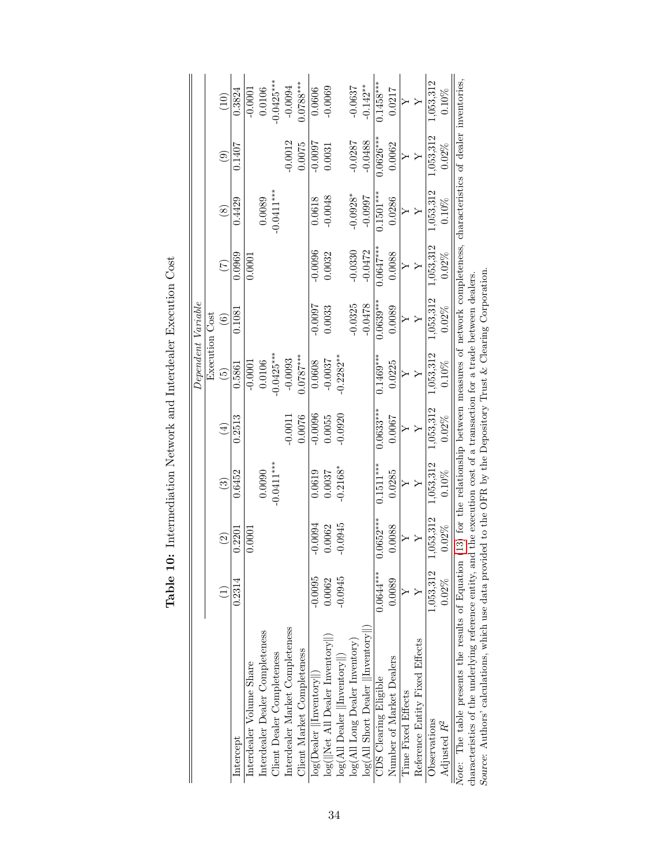|                                                  |             |               |                                                                                                              |             |                      | Dependent Variable     |                 |                   |             |             |
|--------------------------------------------------|-------------|---------------|--------------------------------------------------------------------------------------------------------------|-------------|----------------------|------------------------|-----------------|-------------------|-------------|-------------|
|                                                  |             |               |                                                                                                              |             |                      | <b>Execution Cost</b>  |                 |                   |             |             |
|                                                  |             | $\widehat{c}$ | $\widehat{\mathcal{E}}$                                                                                      | $\bigoplus$ | $\widetilde{\Theta}$ | $\widehat{\mathbf{e}}$ | $\widetilde{C}$ | $\left( 8\right)$ | $\odot$     | (10)        |
| Intercept                                        | 0.2314      | 0.2201        | 0.6452                                                                                                       | 0.2513      | 0.5861               | 0.1081                 | 0.0969          | 0.4429            | 0.1407      | 0.3824      |
| Interdealer Volume Share                         |             | 0.0001        |                                                                                                              |             | $-0.0001$            |                        | 0.0001          |                   |             | $-0.0001$   |
| Interdealer Dealer Completeness                  |             |               | 0.0090                                                                                                       |             | 0.0106               |                        |                 | 0.0089            |             | 0.0106      |
| Client Dealer Completeness                       |             |               | $-0.0411***$                                                                                                 |             | $0.0425***$          |                        |                 | $-0.0411***$      |             | $0.0425***$ |
| Interdealer Market Completeness                  |             |               |                                                                                                              | $-0.0011$   | $-0.0093$            |                        |                 |                   | $-0.0012$   | $-0.0094$   |
| Client Market Completeness                       |             |               |                                                                                                              | 0.0076      | $0.0787***$          |                        |                 |                   | 0.0075      | $0.0788***$ |
| $log(Dealer$   Inventory  )                      | $-0.0095$   | $-0.0094$     | 0.0619                                                                                                       | $-0.0096$   | 0.0608               | -0.0007                | $-0.0096$       | 0.0618            | -0.0007     | 0.0606      |
| log(  Net All Dealer Inventory  )                | 0.0062      | 0.0062        | 0.0037                                                                                                       | 0.0055      | $-0.0037$            | 0.0033                 | 0.0032          | $-0.0048$         | 0.0031      | $-0.0069$   |
| $log(AII$ Dealer $  Inventory  )$                | 0.0945      | 0.0945        | $0.2168*$                                                                                                    | 0.0920      | $-0.2282***$         |                        |                 |                   |             |             |
| $log(AII)$ Long Dealer Inventory)                |             |               |                                                                                                              |             |                      | $-0.0325$              | $-0.0330$       | $-0.0928*$        | $-0.0287$   | $-0.0637$   |
| log(All Short Dealer   Inventory  )              |             |               |                                                                                                              |             |                      | $-0.0478$              | $-0.0472$       | $-0.0907$         | $-0.0488$   | $-0.142**$  |
| <b>CDS</b> Clearing Eligible                     | $0.0644***$ | $0.0652***$   | $0.1511***$                                                                                                  | $0.0633***$ | $0.1469***$          | $0.0639***$            | $0.0647***$     | $0.1501***$       | $0.0626***$ | $0.1458***$ |
| Number of Market Dealers                         | 0.0089      | 0.0088        | 0.0285                                                                                                       | 0.0007      | 0.0225               | 0.0089                 | 0.0088          | 0.0286            | 0.0062      | 0.0217      |
| Time Fixed Effects                               |             |               |                                                                                                              |             |                      |                        |                 |                   |             |             |
| Reference Entity Fixed Effects                   |             |               |                                                                                                              |             |                      |                        |                 |                   |             |             |
| Observations                                     | 1,053,312   | 1,053,312     | 1,053,312                                                                                                    | 1,053,312   | 1,053,312            | 1,053,312              | 1,053,312       | 1,053,312         | 1,053,312   | 1,053,312   |
| Adjusted $R^2$                                   | $0.02\%$    | $0.02\%$      | $0.10\%$                                                                                                     | $0.02\%$    | $0.10\%$             | $0.02\%$               | $0.02\%$        | $0.10\%$          | $0.02\%$    | $0.10\%$    |
| Note: The table presents the results of Equation |             |               | $(13)$ for the relationship between measures of network completeness, characteristics of dealer inventories, |             |                      |                        |                 |                   |             |             |

Table 10: Intermediation Network and Interdealer Execution Cost Table 10: Intermediation Network and Interdealer Execution Cost <span id="page-34-0"></span> $\overline{\mathbf{I}}$ 

characteristics of the underlying reference entity, and the execution cost of a transaction for a trade between dealers.<br>Source: Authors' calculations, which use data provided to the OFR by the Depository Trust & Clearing Source: Authors' calculations, which use data provided to the OFR by the Depository Trust & Clearing Corporation.

characteristics of the underlying reference entity, and the execution cost of a transaction for a trade between dealers.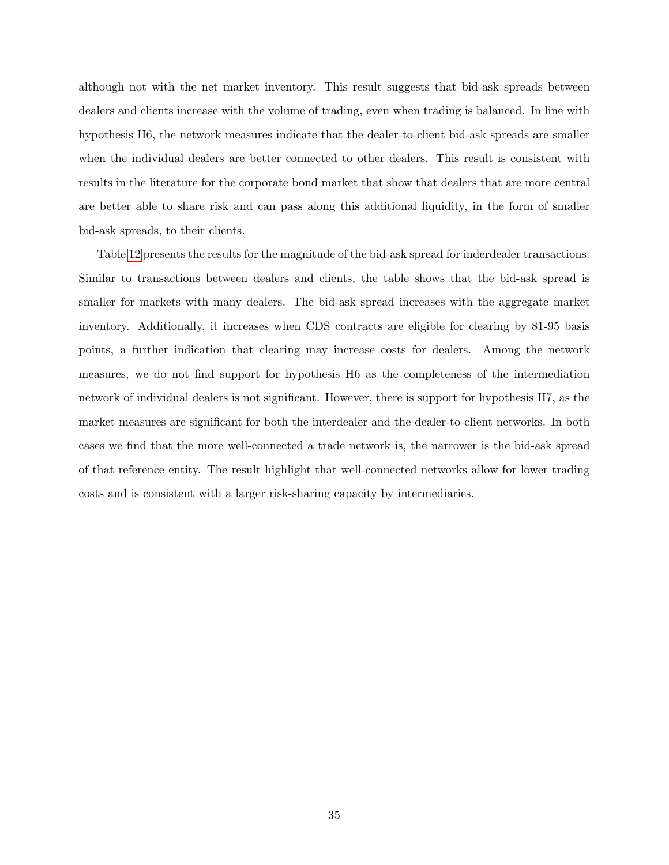although not with the net market inventory. This result suggests that bid-ask spreads between dealers and clients increase with the volume of trading, even when trading is balanced. In line with hypothesis H6, the network measures indicate that the dealer-to-client bid-ask spreads are smaller when the individual dealers are better connected to other dealers. This result is consistent with results in the literature for the corporate bond market that show that dealers that are more central are better able to share risk and can pass along this additional liquidity, in the form of smaller bid-ask spreads, to their clients.

Table [12](#page-37-0) presents the results for the magnitude of the bid-ask spread for inderdealer transactions. Similar to transactions between dealers and clients, the table shows that the bid-ask spread is smaller for markets with many dealers. The bid-ask spread increases with the aggregate market inventory. Additionally, it increases when CDS contracts are eligible for clearing by 81-95 basis points, a further indication that clearing may increase costs for dealers. Among the network measures, we do not find support for hypothesis H6 as the completeness of the intermediation network of individual dealers is not significant. However, there is support for hypothesis H7, as the market measures are significant for both the interdealer and the dealer-to-client networks. In both cases we find that the more well-connected a trade network is, the narrower is the bid-ask spread of that reference entity. The result highlight that well-connected networks allow for lower trading costs and is consistent with a larger risk-sharing capacity by intermediaries.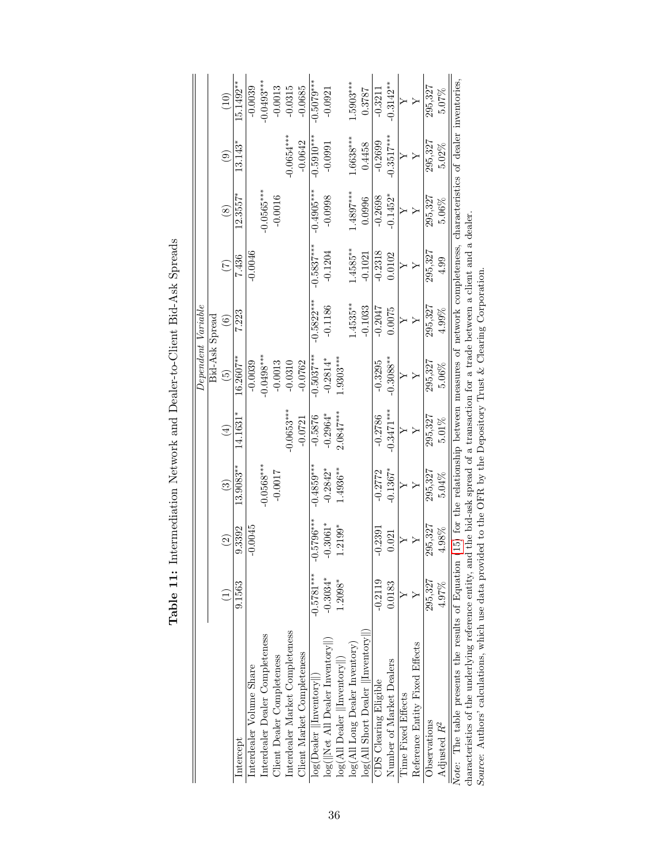<span id="page-36-0"></span>

|                                                                                                                                                             |              |               |               |              |                 | Dependent Variable |                                                                                  |              |               |              |
|-------------------------------------------------------------------------------------------------------------------------------------------------------------|--------------|---------------|---------------|--------------|-----------------|--------------------|----------------------------------------------------------------------------------|--------------|---------------|--------------|
|                                                                                                                                                             |              |               |               |              |                 | Bid-Ask Spread     |                                                                                  |              |               |              |
|                                                                                                                                                             | Ξ            | $\widehat{c}$ | $\widehat{c}$ | $\bigoplus$  | $\widetilde{5}$ | $\widehat{6}$      | $(\zeta)$                                                                        | $\circledS$  | $\widehat{e}$ | (10)         |
| Intercept                                                                                                                                                   | 9.1563       | 9.3392        | 13.9083**     | $14.1631*$   | $16.2607***$    | 7.223              | 7.436                                                                            | $12.3557*$   | 13.143*       | 15.1492**    |
| Interdealer Volume Share                                                                                                                                    |              | $-0.0045$     |               |              | $-0.0039$       |                    | $-0.0046$                                                                        |              |               | $-0.0039$    |
| Interdealer Dealer Completeness                                                                                                                             |              |               | $-0.0568***$  |              | $-0.0498***$    |                    |                                                                                  | $-0.0565***$ |               | $-0.0493***$ |
| Client Dealer Completeness                                                                                                                                  |              |               | $-0.0017$     |              | $-0.0013$       |                    |                                                                                  | $-0.0016$    |               | $-0.0013$    |
| Interdealer Market Completeness                                                                                                                             |              |               |               | $-0.0653***$ | $-0.0310$       |                    |                                                                                  |              | $-0.0654***$  | $-0.0315$    |
| Client Market Completeness                                                                                                                                  |              |               |               | $-0.0721$    | $-0.0762$       |                    |                                                                                  |              | $-0.0642$     | $-0.0685$    |
| $\overline{\log(\mathrm{Dealer}\; \  \mathrm{Inventory} \ )}$                                                                                               | $-0.5781***$ | $-0.5796***$  | $-0.4859***$  | $-0.5876$    | $-0.5037***$    | $-0.5822***$       | $-0.5837***$                                                                     | $-0.4905***$ | $-0.5910***$  | $-0.5079***$ |
| log(  Net All Dealer Inventory  )                                                                                                                           | $-0.3034*$   | $-0.3061*$    | $-0.2842*$    | $-0.2964*$   | $-0.2814*$      | $-0.1186$          | $-0.1204$                                                                        | $-0.0998$    | $-0.0991$     | $-0.0921$    |
| $log(AII$ Dealer $  $ Inventory $  $ )                                                                                                                      | $1.2098*$    | 1.2199*       | $1.4936**$    | $2.0847***$  | $1.9303***$     |                    |                                                                                  |              |               |              |
| log(All Long Dealer Inventory)                                                                                                                              |              |               |               |              |                 | $.4535***$         | 1.4585**                                                                         | $1.4897***$  | $1.6638***$   | $1.5903***$  |
| $log(AII$ Short Dealer $  $ Inventory $  $ )                                                                                                                |              |               |               |              |                 | $-0.1033$          | $-0.1021$                                                                        | 0.0996       | 0.4458        | 0.3787       |
| <b>CDS</b> Clearing Eligible                                                                                                                                | $-0.2119$    | $-0.2391$     | $-0.2772$     | $-0.2786$    | $-0.3295$       | $-0.2047$          | $-0.2318$                                                                        | $-0.2698$    | $-0.2699$     | $-0.3211$    |
| Number of Market Dealers                                                                                                                                    | 0.0183       | 0.021         | $-0.1367*$    | $-0.3471***$ | $-0.3088**$     | 0.0075             | 0.0102                                                                           | $-0.1452*$   | $-0.3517***$  | $-0.3142***$ |
| <b>Time Fixed Effects</b>                                                                                                                                   |              |               |               |              |                 |                    |                                                                                  |              |               |              |
| Reference Entity Fixed Effects                                                                                                                              |              |               |               |              |                 |                    |                                                                                  |              |               |              |
| Observations                                                                                                                                                | 295.327      | 295,327       | 295,327       | 295,327      | 295,327         | 295,327            | 295,327                                                                          | 295,327      | 295,327       | 295,327      |
| Adjusted $R^2$                                                                                                                                              | 4.97%        | 4.98%         | 5.04%         | $5.01\%$     | $5.06\%$        | $4.99\%$           | 4.99                                                                             | $5.06\%$     | $5.02\%$      | 5.07%        |
| Note: The table presents the results of Equation (15) for the relationship between measures of network completeness, characteristics of dealer inventories, |              |               |               |              |                 |                    |                                                                                  |              |               |              |
| characteristics of the underlying reference entity, ar                                                                                                      |              |               |               |              |                 |                    | nd the bid-ask spread of a transaction for a trade between a client and a dealer |              |               |              |
| Source: Authors' calculations, which use data provided to the OFR by the Depository Trust & Clearing Corporation                                            |              |               |               |              |                 |                    |                                                                                  |              |               |              |
|                                                                                                                                                             |              |               |               |              |                 |                    |                                                                                  |              |               |              |

Table 11: Intermediation Network and Dealer-to-Client Bid-Ask Spreads Table 11: Intermediation Network and Dealer-to-Client Bid-Ask Spreads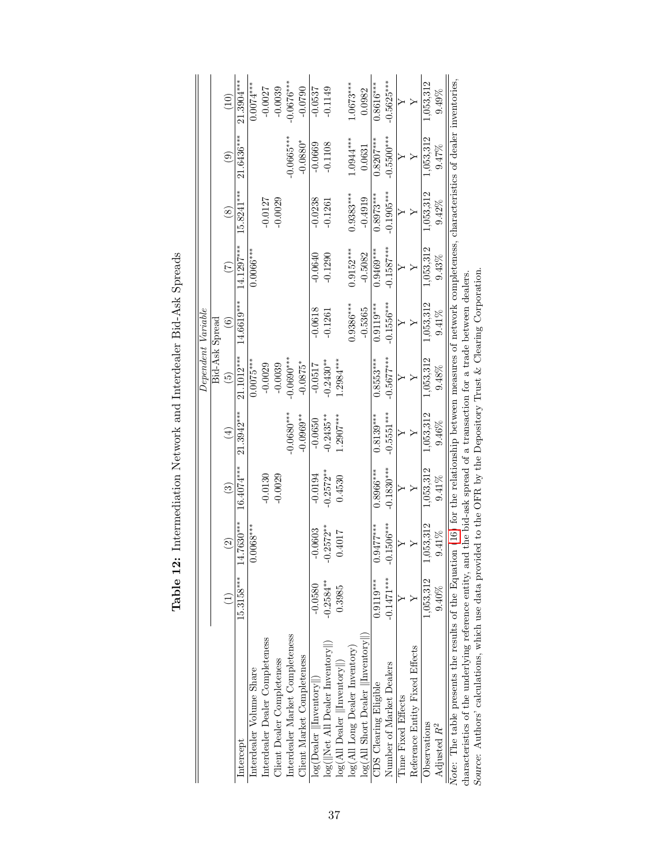<span id="page-37-0"></span>

|                                                                                                                                                                 |              |                        |              |              |                 | Dependent Variable |              |               |                                                       |              |
|-----------------------------------------------------------------------------------------------------------------------------------------------------------------|--------------|------------------------|--------------|--------------|-----------------|--------------------|--------------|---------------|-------------------------------------------------------|--------------|
|                                                                                                                                                                 |              |                        |              |              |                 | Bid-Ask Spread     |              |               |                                                       |              |
|                                                                                                                                                                 |              | $\widehat{\mathbb{C}}$ | ල            | $\bigoplus$  | $\widetilde{5}$ | $\widehat{6}$      | E            | $\circledast$ | $\begin{array}{c} \textcircled{\small 3} \end{array}$ | (10)         |
| Intercept                                                                                                                                                       | 15.3158***   | $4.7630***$            | $16.4074***$ | $21.3942***$ | 21.1012***      | 14.6619***         | 14.1297***   | $15.8241***$  | 21.6436***                                            | 21.3904***   |
| Interdealer Volume Share                                                                                                                                        |              | $0.0068***$            |              |              | $0.0075***$     |                    | $0.0066***$  |               |                                                       | $0.0074***$  |
| Interdealer Dealer Completeness                                                                                                                                 |              |                        | $-0.0130$    |              | $-0.0029$       |                    |              | $-0.0127$     |                                                       | $-0.0027$    |
| <b>Completeness</b>                                                                                                                                             |              |                        | $-0.0029$    |              | $-0.0039$       |                    |              | $-0.0029$     |                                                       | $-0.0039$    |
| Interdealer Market Completeness                                                                                                                                 |              |                        |              | $-0.0680***$ | $-0.0690**$     |                    |              |               | $-0.0665***$                                          | $-0.0676***$ |
| Client Market Completeness                                                                                                                                      |              |                        |              | $-0.0969***$ | $-0.0875*$      |                    |              |               | $-0.0880*$                                            | $-0.0790$    |
| $log(Dealer$   Inventory  )                                                                                                                                     | $-0.0580$    | $-0.0603$              | $-0.0194$    | $-0.0650$    | $-0.0517$       | $-0.0618$          | $-0.0640$    | $-0.0238$     | $-0.0669$                                             | $-0.0537$    |
| log(  Net All Dealer Inventory  )                                                                                                                               | $-0.2584***$ | $-0.2572***$           | $-0.2572***$ | $-0.2435***$ | $0.2430***$     | $-0.1261$          | $-0.1290$    | $-0.1261$     | $-0.1108$                                             | $-0.1149$    |
| $log(AII$ Dealer $  $ Inventory $  $ )                                                                                                                          | 0.3985       | 0.4017                 | 0.4530       | $1.2907***$  | $1.2984***$     |                    |              |               |                                                       |              |
| $log(AII$ Long Dealer Inventory)                                                                                                                                |              |                        |              |              |                 | $0.9386***$        | $0.9152***$  | $0.9383***$   | 1.0944***                                             | $0.0673***$  |
| $log(AII$ Short Dealer $  $ Inventory $  $ )                                                                                                                    |              |                        |              |              |                 | $-0.5365$          | $-0.5082$    | $-0.4919$     | 0.0631                                                | 0.0982       |
| <b>CDS</b> Clearing Eligible                                                                                                                                    | $0.9119***$  | .9477****              | $0.8966***$  | $0.8139***$  | $0.8553***$     | $0.9119***$        | $0.9469***$  | $0.8973***$   | $0.8207***$                                           | $0.8616***$  |
| Number of Market Dealers                                                                                                                                        | $-0.1471***$ | $0.1506***$<br>T       | $-0.1830***$ | $-0.5551***$ | $-0.5677***$    | $-0.1556***$       | $-0.1587***$ | $-0.1905***$  | $-0.5500***$                                          | $-0.5625***$ |
| <b>Time Fixed Effects</b>                                                                                                                                       |              |                        |              |              |                 |                    |              |               |                                                       |              |
| Reference Entity Fixed Effects                                                                                                                                  |              |                        |              |              |                 |                    |              |               |                                                       |              |
| Observations                                                                                                                                                    | 1,053,312    | 053,312                | 1,053,312    | 1,053,312    | 1,053,312       | 1,053,312          | 1,053,312    | 1,053,312     | 1,053,312                                             | 1,053,312    |
| Adjusted $R^2$                                                                                                                                                  | $9.40\%$     | $9.41\%$               | $9.41\%$     | $9.46\%$     | $9.48\%$        | $9.41\%$           | $9.43\%$     | $9.42\%$      | 9.47%                                                 | 9.49%        |
| Note: The table presents the results of the Equation (16) for the relationship between measures of network completeness, characteristics of dealer inventories, |              |                        |              |              |                 |                    |              |               |                                                       |              |
| characteristics of the underlying reference entity, and the bid-ask spread of a transaction for a trade between dealers.                                        |              |                        |              |              |                 |                    |              |               |                                                       |              |
| Source: Authors' calculations, which use data provided to the OFR by the Depository Trust & Clearing Corporation                                                |              |                        |              |              |                 |                    |              |               |                                                       |              |

Table 12: Intermediation Network and Interdealer Bid-Ask Spreads Table 12: Intermediation Network and Interdealer Bid-Ask Spreads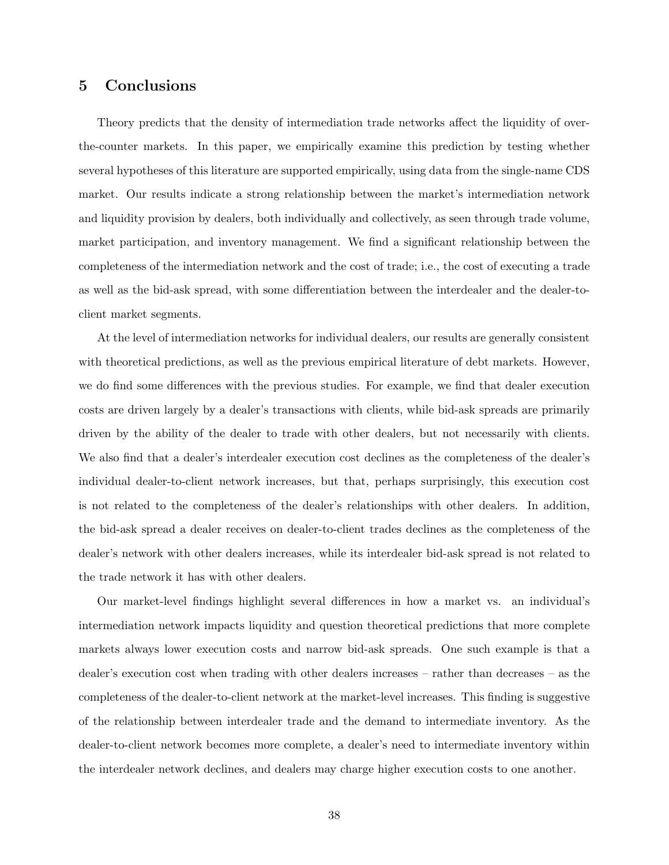## <span id="page-38-0"></span>5 Conclusions

Theory predicts that the density of intermediation trade networks affect the liquidity of overthe-counter markets. In this paper, we empirically examine this prediction by testing whether several hypotheses of this literature are supported empirically, using data from the single-name CDS market. Our results indicate a strong relationship between the market's intermediation network and liquidity provision by dealers, both individually and collectively, as seen through trade volume, market participation, and inventory management. We find a significant relationship between the completeness of the intermediation network and the cost of trade; i.e., the cost of executing a trade as well as the bid-ask spread, with some differentiation between the interdealer and the dealer-toclient market segments.

At the level of intermediation networks for individual dealers, our results are generally consistent with theoretical predictions, as well as the previous empirical literature of debt markets. However, we do find some differences with the previous studies. For example, we find that dealer execution costs are driven largely by a dealer's transactions with clients, while bid-ask spreads are primarily driven by the ability of the dealer to trade with other dealers, but not necessarily with clients. We also find that a dealer's interdealer execution cost declines as the completeness of the dealer's individual dealer-to-client network increases, but that, perhaps surprisingly, this execution cost is not related to the completeness of the dealer's relationships with other dealers. In addition, the bid-ask spread a dealer receives on dealer-to-client trades declines as the completeness of the dealer's network with other dealers increases, while its interdealer bid-ask spread is not related to the trade network it has with other dealers.

Our market-level findings highlight several differences in how a market vs. an individual's intermediation network impacts liquidity and question theoretical predictions that more complete markets always lower execution costs and narrow bid-ask spreads. One such example is that a dealer's execution cost when trading with other dealers increases – rather than decreases – as the completeness of the dealer-to-client network at the market-level increases. This finding is suggestive of the relationship between interdealer trade and the demand to intermediate inventory. As the dealer-to-client network becomes more complete, a dealer's need to intermediate inventory within the interdealer network declines, and dealers may charge higher execution costs to one another.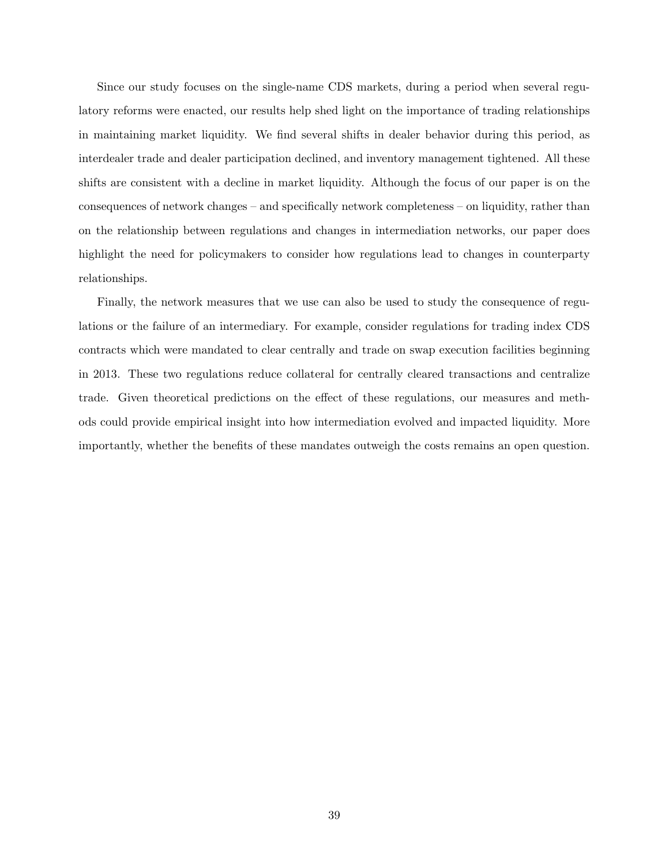Since our study focuses on the single-name CDS markets, during a period when several regulatory reforms were enacted, our results help shed light on the importance of trading relationships in maintaining market liquidity. We find several shifts in dealer behavior during this period, as interdealer trade and dealer participation declined, and inventory management tightened. All these shifts are consistent with a decline in market liquidity. Although the focus of our paper is on the consequences of network changes – and specifically network completeness – on liquidity, rather than on the relationship between regulations and changes in intermediation networks, our paper does highlight the need for policymakers to consider how regulations lead to changes in counterparty relationships.

Finally, the network measures that we use can also be used to study the consequence of regulations or the failure of an intermediary. For example, consider regulations for trading index CDS contracts which were mandated to clear centrally and trade on swap execution facilities beginning in 2013. These two regulations reduce collateral for centrally cleared transactions and centralize trade. Given theoretical predictions on the effect of these regulations, our measures and methods could provide empirical insight into how intermediation evolved and impacted liquidity. More importantly, whether the benefits of these mandates outweigh the costs remains an open question.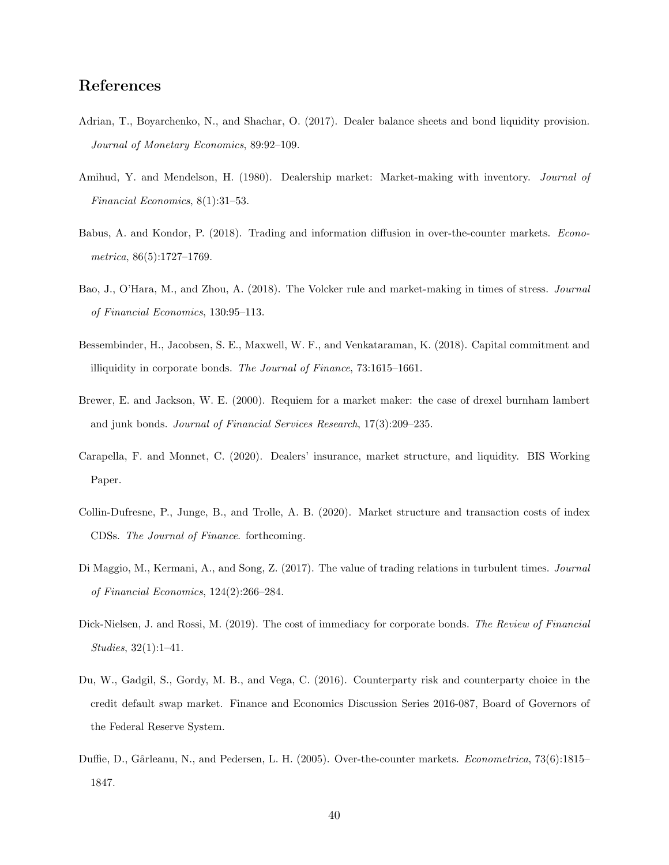## References

- <span id="page-40-8"></span>Adrian, T., Boyarchenko, N., and Shachar, O. (2017). Dealer balance sheets and bond liquidity provision. Journal of Monetary Economics, 89:92–109.
- <span id="page-40-5"></span>Amihud, Y. and Mendelson, H. (1980). Dealership market: Market-making with inventory. Journal of Financial Economics, 8(1):31–53.
- <span id="page-40-1"></span>Babus, A. and Kondor, P. (2018). Trading and information diffusion in over-the-counter markets. Econometrica, 86(5):1727–1769.
- <span id="page-40-11"></span>Bao, J., O'Hara, M., and Zhou, A. (2018). The Volcker rule and market-making in times of stress. Journal of Financial Economics, 130:95–113.
- <span id="page-40-10"></span>Bessembinder, H., Jacobsen, S. E., Maxwell, W. F., and Venkataraman, K. (2018). Capital commitment and illiquidity in corporate bonds. The Journal of Finance, 73:1615–1661.
- <span id="page-40-3"></span>Brewer, E. and Jackson, W. E. (2000). Requiem for a market maker: the case of drexel burnham lambert and junk bonds. Journal of Financial Services Research, 17(3):209–235.
- <span id="page-40-4"></span>Carapella, F. and Monnet, C. (2020). Dealers' insurance, market structure, and liquidity. BIS Working Paper.
- <span id="page-40-7"></span>Collin-Dufresne, P., Junge, B., and Trolle, A. B. (2020). Market structure and transaction costs of index CDSs. The Journal of Finance. forthcoming.
- <span id="page-40-2"></span>Di Maggio, M., Kermani, A., and Song, Z. (2017). The value of trading relations in turbulent times. Journal of Financial Economics, 124(2):266–284.
- <span id="page-40-9"></span>Dick-Nielsen, J. and Rossi, M. (2019). The cost of immediacy for corporate bonds. The Review of Financial Studies, 32(1):1–41.
- <span id="page-40-6"></span>Du, W., Gadgil, S., Gordy, M. B., and Vega, C. (2016). Counterparty risk and counterparty choice in the credit default swap market. Finance and Economics Discussion Series 2016-087, Board of Governors of the Federal Reserve System.
- <span id="page-40-0"></span>Duffie, D., Gârleanu, N., and Pedersen, L. H. (2005). Over-the-counter markets. Econometrica, 73(6):1815– 1847.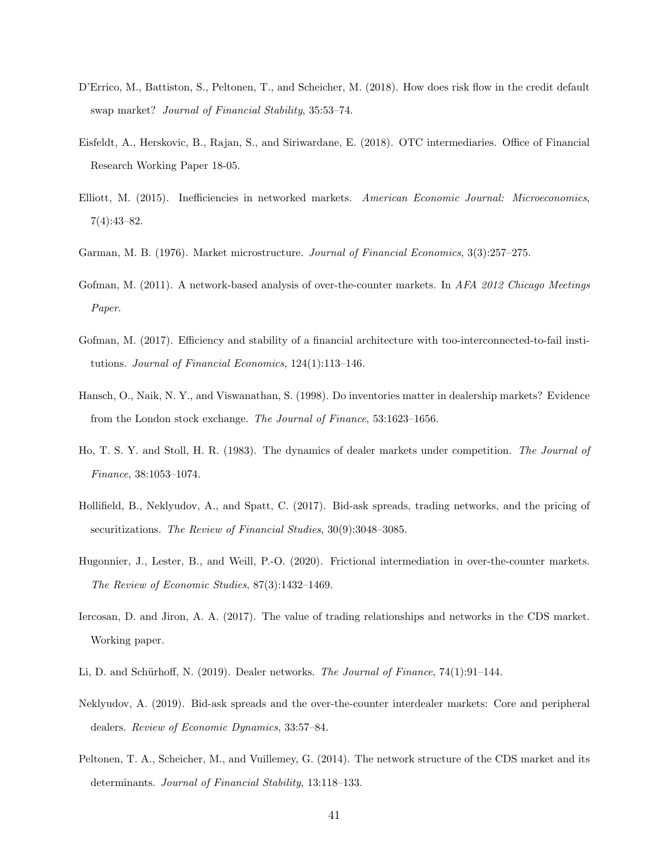- <span id="page-41-9"></span>D'Errico, M., Battiston, S., Peltonen, T., and Scheicher, M. (2018). How does risk flow in the credit default swap market? Journal of Financial Stability, 35:53–74.
- <span id="page-41-10"></span>Eisfeldt, A., Herskovic, B., Rajan, S., and Siriwardane, E. (2018). OTC intermediaries. Office of Financial Research Working Paper 18-05.
- <span id="page-41-4"></span>Elliott, M. (2015). Inefficiencies in networked markets. American Economic Journal: Microeconomics, 7(4):43–82.
- <span id="page-41-7"></span>Garman, M. B. (1976). Market microstructure. Journal of Financial Economics, 3(3):257–275.
- <span id="page-41-1"></span>Gofman, M. (2011). A network-based analysis of over-the-counter markets. In AFA 2012 Chicago Meetings Paper.
- <span id="page-41-13"></span>Gofman, M. (2017). Efficiency and stability of a financial architecture with too-interconnected-to-fail institutions. Journal of Financial Economics, 124(1):113–146.
- <span id="page-41-8"></span>Hansch, O., Naik, N. Y., and Viswanathan, S. (1998). Do inventories matter in dealership markets? Evidence from the London stock exchange. The Journal of Finance, 53:1623–1656.
- <span id="page-41-0"></span>Ho, T. S. Y. and Stoll, H. R. (1983). The dynamics of dealer markets under competition. The Journal of Finance, 38:1053–1074.
- <span id="page-41-5"></span>Hollifield, B., Neklyudov, A., and Spatt, C. (2017). Bid-ask spreads, trading networks, and the pricing of securitizations. The Review of Financial Studies, 30(9):3048–3085.
- <span id="page-41-3"></span>Hugonnier, J., Lester, B., and Weill, P.-O. (2020). Frictional intermediation in over-the-counter markets. The Review of Economic Studies, 87(3):1432–1469.
- <span id="page-41-11"></span>Iercosan, D. and Jiron, A. A. (2017). The value of trading relationships and networks in the CDS market. Working paper.
- <span id="page-41-6"></span><span id="page-41-2"></span>Li, D. and Schürhoff, N. (2019). Dealer networks. The Journal of Finance,  $74(1):91-144$ .
- Neklyudov, A. (2019). Bid-ask spreads and the over-the-counter interdealer markets: Core and peripheral dealers. Review of Economic Dynamics, 33:57–84.
- <span id="page-41-12"></span>Peltonen, T. A., Scheicher, M., and Vuillemey, G. (2014). The network structure of the CDS market and its determinants. Journal of Financial Stability, 13:118–133.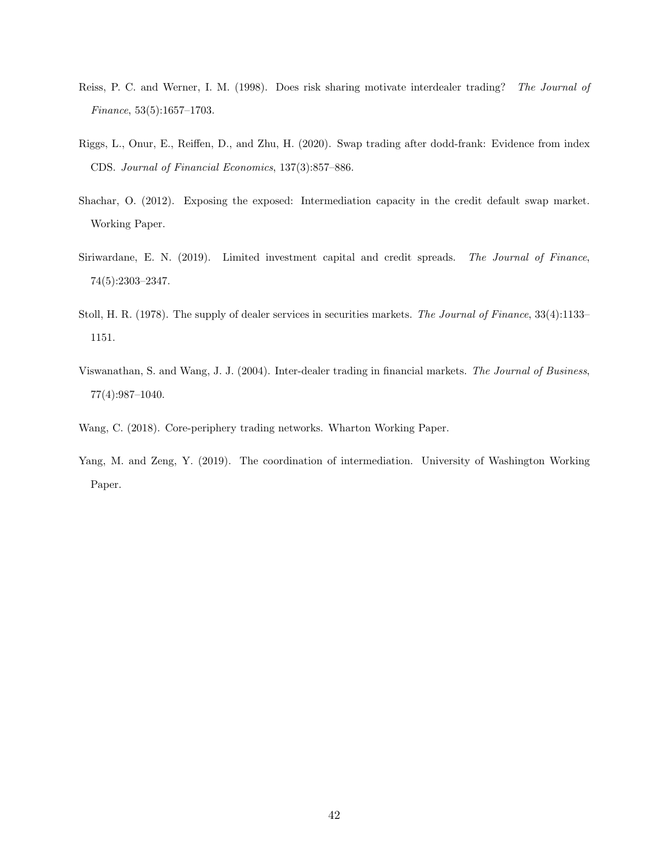- <span id="page-42-4"></span>Reiss, P. C. and Werner, I. M. (1998). Does risk sharing motivate interdealer trading? The Journal of Finance, 53(5):1657–1703.
- <span id="page-42-7"></span>Riggs, L., Onur, E., Reiffen, D., and Zhu, H. (2020). Swap trading after dodd-frank: Evidence from index CDS. Journal of Financial Economics, 137(3):857–886.
- <span id="page-42-5"></span>Shachar, O. (2012). Exposing the exposed: Intermediation capacity in the credit default swap market. Working Paper.
- <span id="page-42-6"></span>Siriwardane, E. N. (2019). Limited investment capital and credit spreads. The Journal of Finance, 74(5):2303–2347.
- <span id="page-42-3"></span>Stoll, H. R. (1978). The supply of dealer services in securities markets. The Journal of Finance, 33(4):1133– 1151.
- <span id="page-42-0"></span>Viswanathan, S. and Wang, J. J. (2004). Inter-dealer trading in financial markets. The Journal of Business, 77(4):987–1040.
- <span id="page-42-1"></span>Wang, C. (2018). Core-periphery trading networks. Wharton Working Paper.
- <span id="page-42-2"></span>Yang, M. and Zeng, Y. (2019). The coordination of intermediation. University of Washington Working Paper.